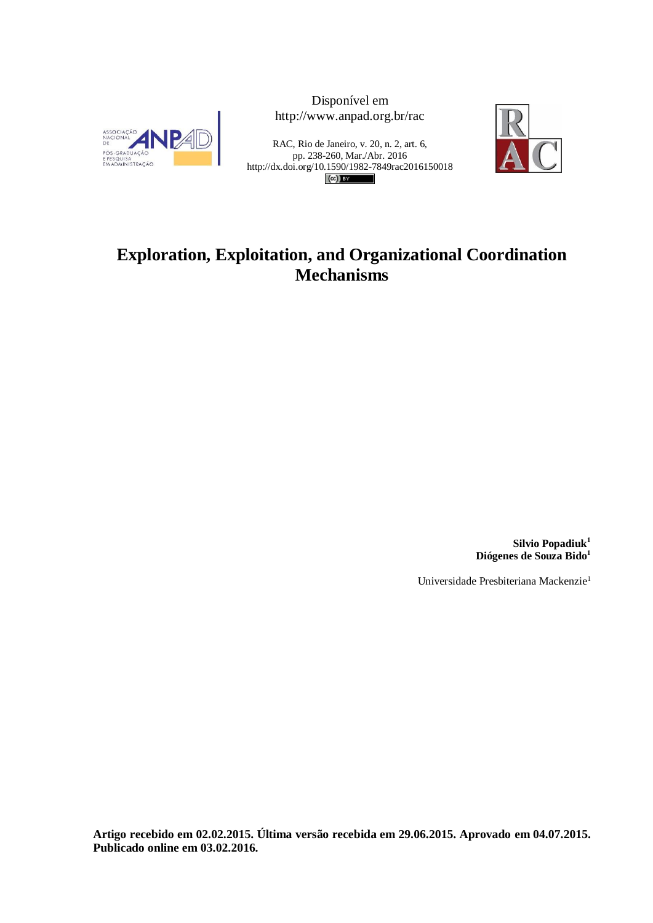

Disponível em http://www.anpad.org.br/rac

RAC, Rio de Janeiro, v. 20, n. 2, art. 6, pp. 238-260, Mar./Abr. 2016 http://dx.doi.org/10.1590/1982-7849rac2016150018



# **Exploration, Exploitation, and Organizational Coordination Mechanisms**

**Silvio Popadiuk<sup>1</sup> Diógenes de Souza Bido<sup>1</sup>**

Universidade Presbiteriana Mackenzie<sup>1</sup>

**Artigo recebido em 02.02.2015. Última versão recebida em 29.06.2015. Aprovado em 04.07.2015. Publicado online em 03.02.2016.**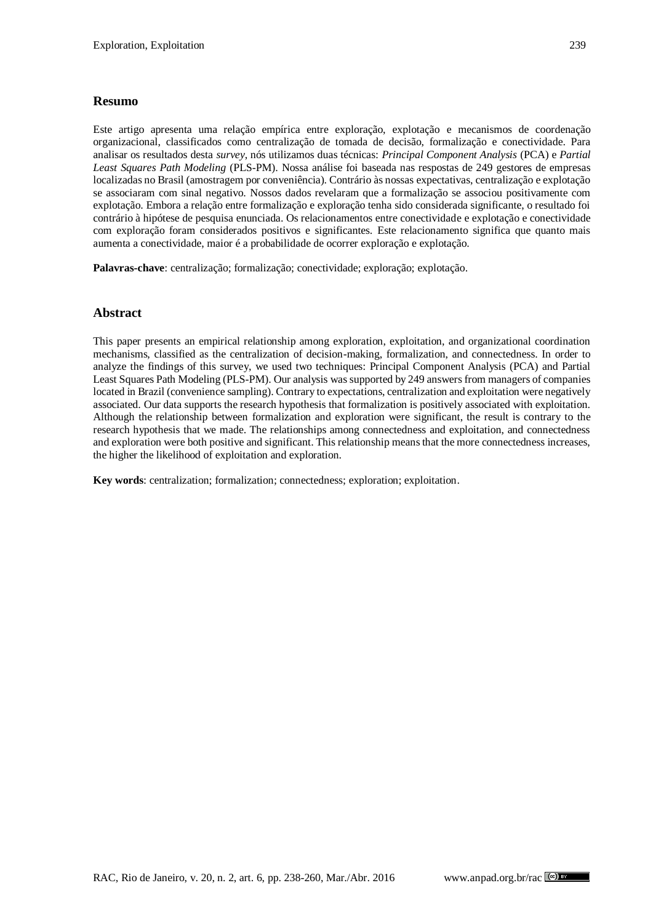## **Resumo**

Este artigo apresenta uma relação empírica entre exploração, explotação e mecanismos de coordenação organizacional, classificados como centralização de tomada de decisão, formalização e conectividade. Para analisar os resultados desta *survey*, nós utilizamos duas técnicas: *Principal Component Analysis* (PCA) e *Partial Least Squares Path Modeling* (PLS-PM). Nossa análise foi baseada nas respostas de 249 gestores de empresas localizadas no Brasil (amostragem por conveniência). Contrário às nossas expectativas, centralização e explotação se associaram com sinal negativo. Nossos dados revelaram que a formalização se associou positivamente com explotação. Embora a relação entre formalização e exploração tenha sido considerada significante, o resultado foi contrário à hipótese de pesquisa enunciada. Os relacionamentos entre conectividade e explotação e conectividade com exploração foram considerados positivos e significantes. Este relacionamento significa que quanto mais aumenta a conectividade, maior é a probabilidade de ocorrer exploração e explotação.

**Palavras-chave**: centralização; formalização; conectividade; exploração; explotação.

## **Abstract**

This paper presents an empirical relationship among exploration, exploitation, and organizational coordination mechanisms, classified as the centralization of decision-making, formalization, and connectedness. In order to analyze the findings of this survey, we used two techniques: Principal Component Analysis (PCA) and Partial Least Squares Path Modeling (PLS-PM). Our analysis was supported by 249 answers from managers of companies located in Brazil (convenience sampling). Contrary to expectations, centralization and exploitation were negatively associated. Our data supports the research hypothesis that formalization is positively associated with exploitation. Although the relationship between formalization and exploration were significant, the result is contrary to the research hypothesis that we made. The relationships among connectedness and exploitation, and connectedness and exploration were both positive and significant. This relationship means that the more connectedness increases, the higher the likelihood of exploitation and exploration.

**Key words**: centralization; formalization; connectedness; exploration; exploitation.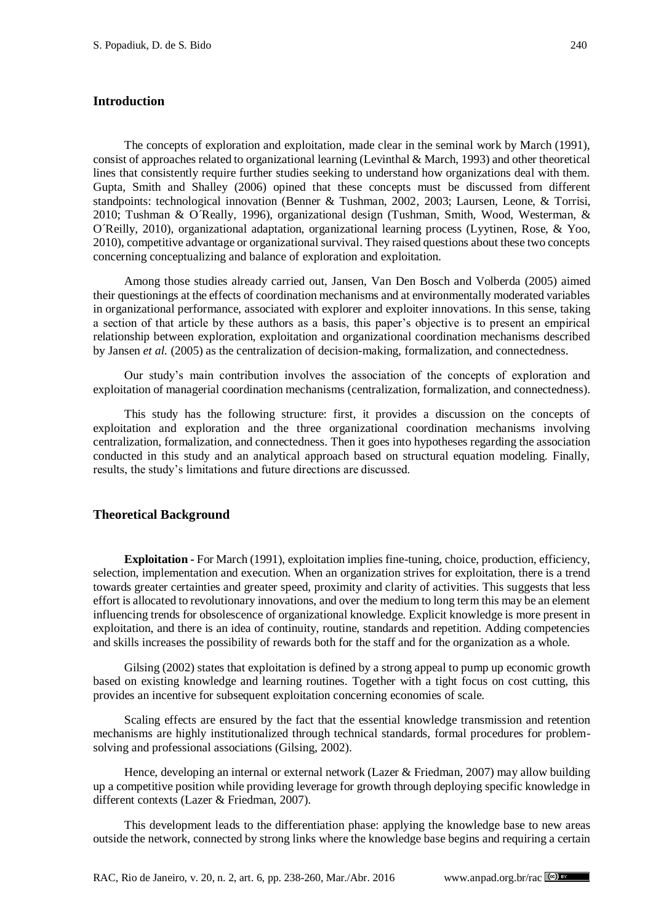## **Introduction**

The concepts of exploration and exploitation*,* made clear in the seminal work by March (1991), consist of approaches related to organizational learning (Levinthal & March, 1993) and other theoretical lines that consistently require further studies seeking to understand how organizations deal with them. Gupta, Smith and Shalley (2006) opined that these concepts must be discussed from different standpoints: technological innovation (Benner & Tushman, 2002, 2003; Laursen, Leone, & Torrisi, 2010; Tushman & O´Really, 1996), organizational design (Tushman, Smith, Wood, Westerman, & O´Reilly, 2010), organizational adaptation, organizational learning process (Lyytinen, Rose, & Yoo, 2010), competitive advantage or organizational survival. They raised questions about these two concepts concerning conceptualizing and balance of exploration and exploitation.

Among those studies already carried out, Jansen, Van Den Bosch and Volberda (2005) aimed their questionings at the effects of coordination mechanisms and at environmentally moderated variables in organizational performance, associated with explorer and exploiter innovations. In this sense, taking a section of that article by these authors as a basis, this paper's objective is to present an empirical relationship between exploration, exploitation and organizational coordination mechanisms described by Jansen *et al.* (2005) as the centralization of decision-making, formalization, and connectedness.

Our study's main contribution involves the association of the concepts of exploration and exploitation of managerial coordination mechanisms (centralization, formalization, and connectedness).

This study has the following structure: first, it provides a discussion on the concepts of exploitation and exploration and the three organizational coordination mechanisms involving centralization, formalization, and connectedness. Then it goes into hypotheses regarding the association conducted in this study and an analytical approach based on structural equation modeling. Finally, results, the study's limitations and future directions are discussed.

## **Theoretical Background**

**Exploitation -** For March (1991), exploitation implies fine-tuning, choice, production, efficiency, selection, implementation and execution. When an organization strives for exploitation, there is a trend towards greater certainties and greater speed, proximity and clarity of activities. This suggests that less effort is allocated to revolutionary innovations, and over the medium to long term this may be an element influencing trends for obsolescence of organizational knowledge. Explicit knowledge is more present in exploitation, and there is an idea of continuity, routine, standards and repetition. Adding competencies and skills increases the possibility of rewards both for the staff and for the organization as a whole.

Gilsing (2002) states that exploitation is defined by a strong appeal to pump up economic growth based on existing knowledge and learning routines. Together with a tight focus on cost cutting, this provides an incentive for subsequent exploitation concerning economies of scale.

Scaling effects are ensured by the fact that the essential knowledge transmission and retention mechanisms are highly institutionalized through technical standards, formal procedures for problemsolving and professional associations (Gilsing, 2002).

Hence, developing an internal or external network (Lazer & Friedman, 2007) may allow building up a competitive position while providing leverage for growth through deploying specific knowledge in different contexts (Lazer & Friedman, 2007).

This development leads to the differentiation phase: applying the knowledge base to new areas outside the network, connected by strong links where the knowledge base begins and requiring a certain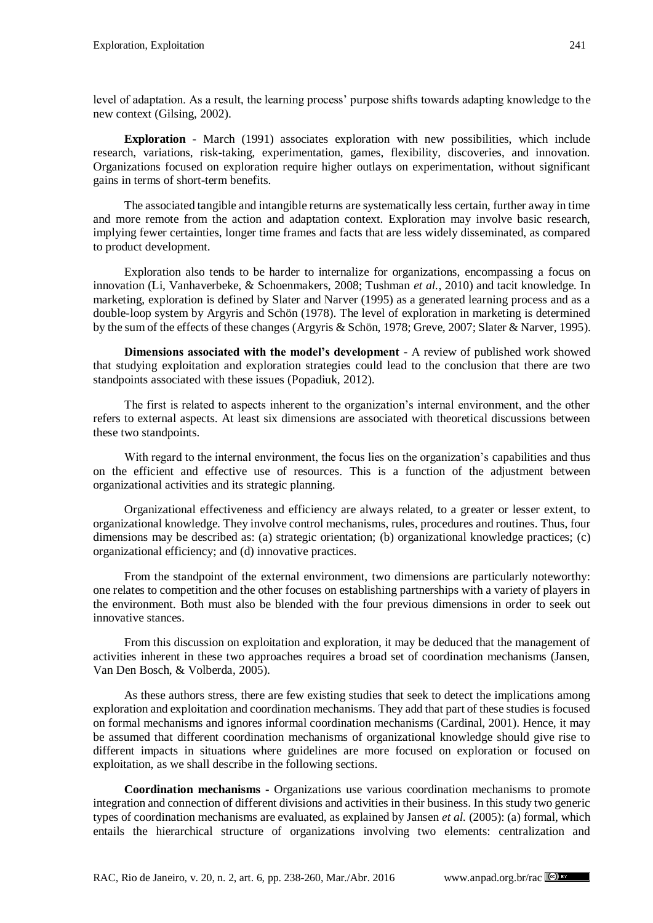level of adaptation. As a result, the learning process' purpose shifts towards adapting knowledge to the new context (Gilsing, 2002).

**Exploration -** March (1991) associates exploration with new possibilities, which include research, variations, risk-taking, experimentation, games, flexibility, discoveries, and innovation. Organizations focused on exploration require higher outlays on experimentation, without significant gains in terms of short-term benefits.

The associated tangible and intangible returns are systematically less certain, further away in time and more remote from the action and adaptation context. Exploration may involve basic research, implying fewer certainties, longer time frames and facts that are less widely disseminated, as compared to product development.

Exploration also tends to be harder to internalize for organizations, encompassing a focus on innovation (Li, Vanhaverbeke, & Schoenmakers, 2008; Tushman *et al.*, 2010) and tacit knowledge. In marketing, exploration is defined by Slater and Narver (1995) as a generated learning process and as a double-loop system by Argyris and Schön (1978). The level of exploration in marketing is determined by the sum of the effects of these changes (Argyris & Schön, 1978; Greve, 2007; Slater & Narver, 1995).

**Dimensions associated with the model's development -** A review of published work showed that studying exploitation and exploration strategies could lead to the conclusion that there are two standpoints associated with these issues (Popadiuk, 2012).

The first is related to aspects inherent to the organization's internal environment, and the other refers to external aspects. At least six dimensions are associated with theoretical discussions between these two standpoints.

With regard to the internal environment, the focus lies on the organization's capabilities and thus on the efficient and effective use of resources. This is a function of the adjustment between organizational activities and its strategic planning.

Organizational effectiveness and efficiency are always related, to a greater or lesser extent, to organizational knowledge. They involve control mechanisms, rules, procedures and routines. Thus, four dimensions may be described as: (a) strategic orientation; (b) organizational knowledge practices; (c) organizational efficiency; and (d) innovative practices.

From the standpoint of the external environment, two dimensions are particularly noteworthy: one relates to competition and the other focuses on establishing partnerships with a variety of players in the environment. Both must also be blended with the four previous dimensions in order to seek out innovative stances.

From this discussion on exploitation and exploration, it may be deduced that the management of activities inherent in these two approaches requires a broad set of coordination mechanisms (Jansen, Van Den Bosch, & Volberda, 2005).

As these authors stress, there are few existing studies that seek to detect the implications among exploration and exploitation and coordination mechanisms. They add that part of these studies is focused on formal mechanisms and ignores informal coordination mechanisms (Cardinal, 2001). Hence, it may be assumed that different coordination mechanisms of organizational knowledge should give rise to different impacts in situations where guidelines are more focused on exploration or focused on exploitation, as we shall describe in the following sections.

**Coordination mechanisms -** Organizations use various coordination mechanisms to promote integration and connection of different divisions and activities in their business. In this study two generic types of coordination mechanisms are evaluated, as explained by Jansen *et al.* (2005): (a) formal, which entails the hierarchical structure of organizations involving two elements: centralization and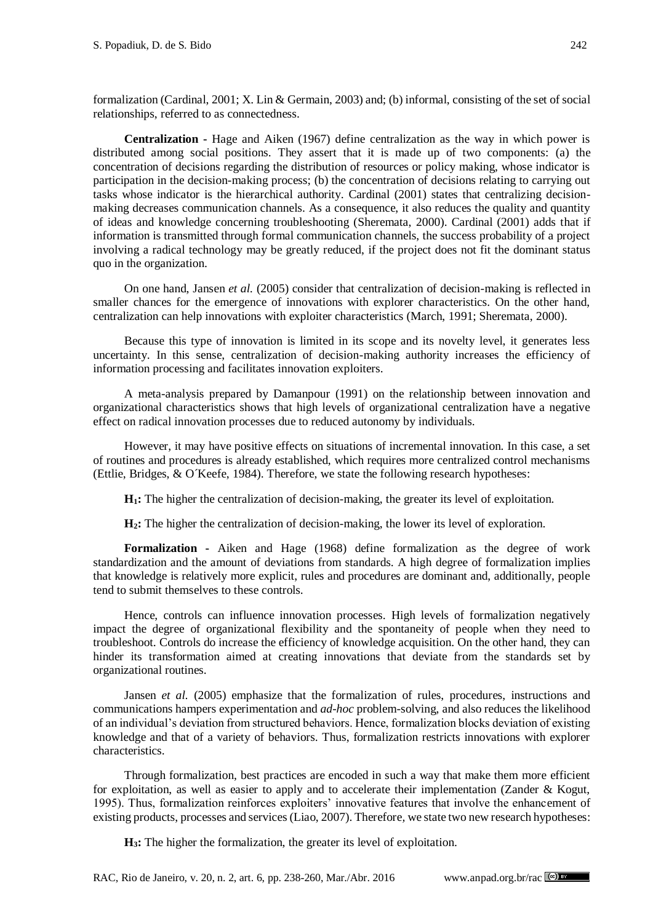formalization (Cardinal, 2001; X. Lin & Germain, 2003) and; (b) informal, consisting of the set of social relationships, referred to as connectedness.

**Centralization -** Hage and Aiken (1967) define centralization as the way in which power is distributed among social positions. They assert that it is made up of two components: (a) the concentration of decisions regarding the distribution of resources or policy making, whose indicator is participation in the decision-making process; (b) the concentration of decisions relating to carrying out tasks whose indicator is the hierarchical authority. Cardinal (2001) states that centralizing decisionmaking decreases communication channels. As a consequence, it also reduces the quality and quantity of ideas and knowledge concerning troubleshooting (Sheremata, 2000). Cardinal (2001) adds that if information is transmitted through formal communication channels, the success probability of a project involving a radical technology may be greatly reduced, if the project does not fit the dominant status quo in the organization.

On one hand, Jansen *et al.* (2005) consider that centralization of decision-making is reflected in smaller chances for the emergence of innovations with explorer characteristics. On the other hand, centralization can help innovations with exploiter characteristics (March, 1991; Sheremata, 2000).

Because this type of innovation is limited in its scope and its novelty level, it generates less uncertainty. In this sense, centralization of decision-making authority increases the efficiency of information processing and facilitates innovation exploiters.

A meta-analysis prepared by Damanpour (1991) on the relationship between innovation and organizational characteristics shows that high levels of organizational centralization have a negative effect on radical innovation processes due to reduced autonomy by individuals.

However, it may have positive effects on situations of incremental innovation. In this case, a set of routines and procedures is already established, which requires more centralized control mechanisms (Ettlie, Bridges, & O´Keefe, 1984). Therefore, we state the following research hypotheses:

**H1:** The higher the centralization of decision-making, the greater its level of exploitation.

**H2:** The higher the centralization of decision-making, the lower its level of exploration*.*

**Formalization -** Aiken and Hage (1968) define formalization as the degree of work standardization and the amount of deviations from standards. A high degree of formalization implies that knowledge is relatively more explicit, rules and procedures are dominant and, additionally, people tend to submit themselves to these controls.

Hence, controls can influence innovation processes. High levels of formalization negatively impact the degree of organizational flexibility and the spontaneity of people when they need to troubleshoot. Controls do increase the efficiency of knowledge acquisition. On the other hand, they can hinder its transformation aimed at creating innovations that deviate from the standards set by organizational routines.

Jansen *et al.* (2005) emphasize that the formalization of rules, procedures, instructions and communications hampers experimentation and *ad-hoc* problem-solving, and also reduces the likelihood of an individual's deviation from structured behaviors. Hence, formalization blocks deviation of existing knowledge and that of a variety of behaviors. Thus, formalization restricts innovations with explorer characteristics.

Through formalization, best practices are encoded in such a way that make them more efficient for exploitation, as well as easier to apply and to accelerate their implementation (Zander & Kogut, 1995). Thus, formalization reinforces exploiters' innovative features that involve the enhancement of existing products, processes and services (Liao, 2007). Therefore*,* we state two new research hypotheses:

**H3:** The higher the formalization, the greater its level of exploitation.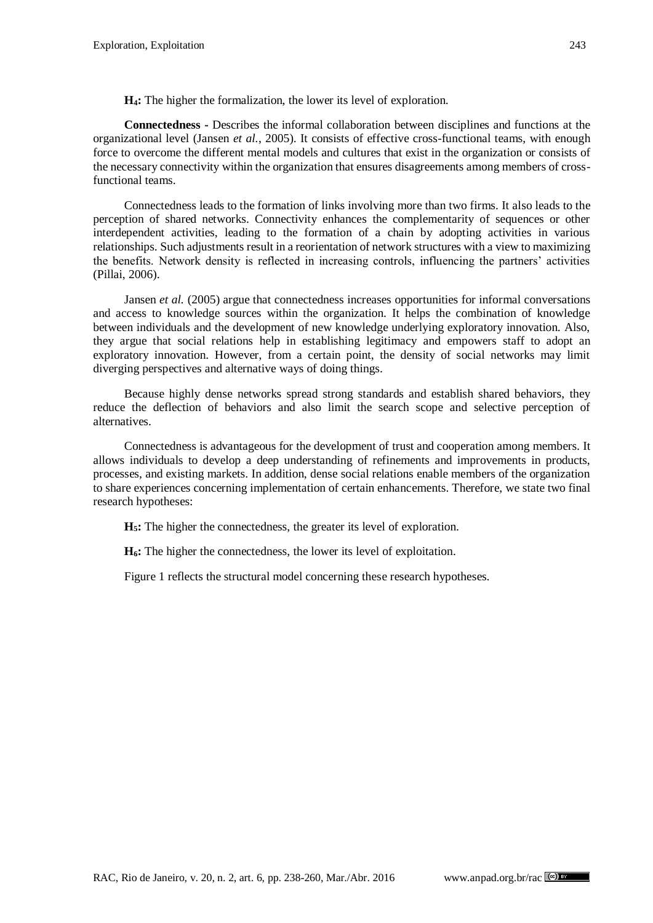**H4:** The higher the formalization, the lower its level of exploration.

**Connectedness -** Describes the informal collaboration between disciplines and functions at the organizational level (Jansen *et al.*, 2005). It consists of effective cross-functional teams, with enough force to overcome the different mental models and cultures that exist in the organization or consists of the necessary connectivity within the organization that ensures disagreements among members of crossfunctional teams.

Connectedness leads to the formation of links involving more than two firms. It also leads to the perception of shared networks. Connectivity enhances the complementarity of sequences or other interdependent activities, leading to the formation of a chain by adopting activities in various relationships. Such adjustments result in a reorientation of network structures with a view to maximizing the benefits. Network density is reflected in increasing controls, influencing the partners' activities (Pillai, 2006).

Jansen *et al.* (2005) argue that connectedness increases opportunities for informal conversations and access to knowledge sources within the organization. It helps the combination of knowledge between individuals and the development of new knowledge underlying exploratory innovation. Also, they argue that social relations help in establishing legitimacy and empowers staff to adopt an exploratory innovation. However, from a certain point, the density of social networks may limit diverging perspectives and alternative ways of doing things.

Because highly dense networks spread strong standards and establish shared behaviors, they reduce the deflection of behaviors and also limit the search scope and selective perception of alternatives.

Connectedness is advantageous for the development of trust and cooperation among members. It allows individuals to develop a deep understanding of refinements and improvements in products, processes, and existing markets. In addition, dense social relations enable members of the organization to share experiences concerning implementation of certain enhancements. Therefore, we state two final research hypotheses:

**H5:** The higher the connectedness, the greater its level of exploration.

**H6:** The higher the connectedness, the lower its level of exploitation.

Figure 1 reflects the structural model concerning these research hypotheses.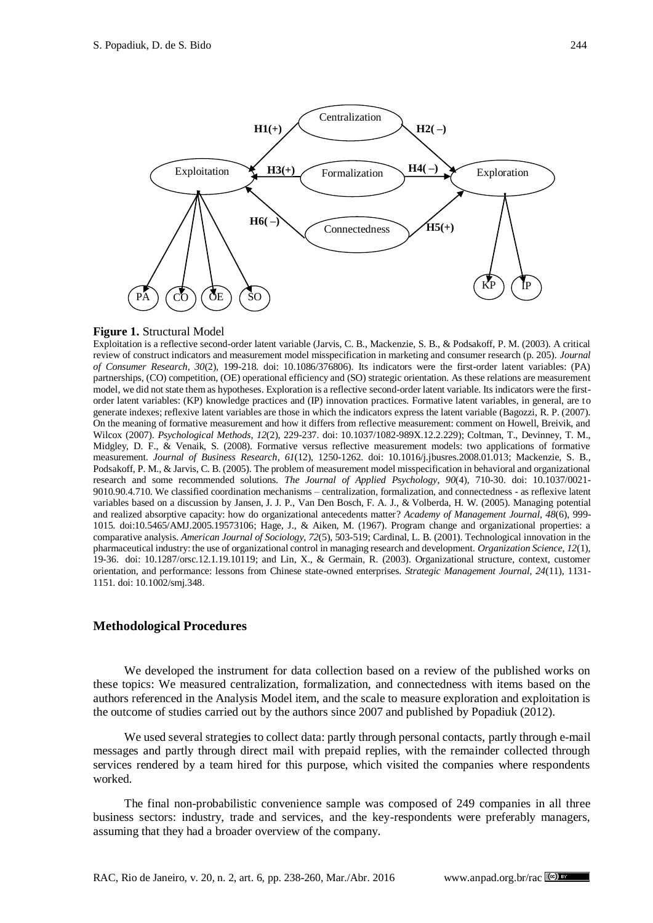

#### **Figure 1.** Structural Model

Exploitation is a reflective second-order latent variable (Jarvis, C. B., Mackenzie, S. B., & Podsakoff, P. M. (2003). A critical review of construct indicators and measurement model misspecification in marketing and consumer research (p. 205). *Journal of Consumer Research, 30*(2), 199-218. doi: 10.1086/376806). Its indicators were the first-order latent variables: (PA) partnerships, (CO) competition, (OE) operational efficiency and (SO) strategic orientation. As these relations are measurement model, we did not state them as hypotheses. Exploration is a reflective second-order latent variable. Its indicators were the firstorder latent variables: (KP) knowledge practices and (IP) innovation practices. Formative latent variables, in general, are to generate indexes; reflexive latent variables are those in which the indicators express the latent variable (Bagozzi, R. P. (2007). On the meaning of formative measurement and how it differs from reflective measurement: comment on Howell, Breivik, and Wilcox (2007). *Psychological Methods*, *12*(2), 229-237. doi: 10.1037/1082-989X.12.2.229); Coltman, T., Devinney, T. M., Midgley, D. F., & Venaik, S. (2008). Formative versus reflective measurement models: two applications of formative measurement. *Journal of Business Research*, *61*(12), 1250-1262. doi: 10.1016/j.jbusres.2008.01.013; Mackenzie, S. B., Podsakoff, P. M., & Jarvis, C. B. (2005). The problem of measurement model misspecification in behavioral and organizational research and some recommended solutions. *The Journal of Applied Psychology*, *90*(4), 710-30. doi: 10.1037/0021- 9010.90.4.710. We classified coordination mechanisms – centralization, formalization, and connectedness - as reflexive latent variables based on a discussion by Jansen, J. J. P., Van Den Bosch, F. A. J., & Volberda, H. W. (2005). Managing potential and realized absorptive capacity: how do organizational antecedents matter? *Academy of Management Journal, 48*(6), 999- 1015. doi:10.5465/AMJ.2005.19573106; Hage, J., & Aiken, M. (1967). Program change and organizational properties: a comparative analysis. *American Journal of Sociology, 72*(5), 503-519; Cardinal, L. B. (2001). Technological innovation in the pharmaceutical industry: the use of organizational control in managing research and development. *Organization Science*, *12*(1), 19-36. doi: 10.1287/orsc.12.1.19.10119; and Lin, X., & Germain, R. (2003). Organizational structure, context, customer orientation, and performance: lessons from Chinese state-owned enterprises. *Strategic Management Journal*, *24*(11), 1131- 1151. doi: 10.1002/smj.348.

#### **Methodological Procedures**

We developed the instrument for data collection based on a review of the published works on these topics: We measured centralization, formalization, and connectedness with items based on the authors referenced in the Analysis Model item, and the scale to measure exploration and exploitation is the outcome of studies carried out by the authors since 2007 and published by Popadiuk (2012).

We used several strategies to collect data: partly through personal contacts, partly through e-mail messages and partly through direct mail with prepaid replies, with the remainder collected through services rendered by a team hired for this purpose, which visited the companies where respondents worked.

The final non-probabilistic convenience sample was composed of 249 companies in all three business sectors: industry, trade and services, and the key-respondents were preferably managers, assuming that they had a broader overview of the company.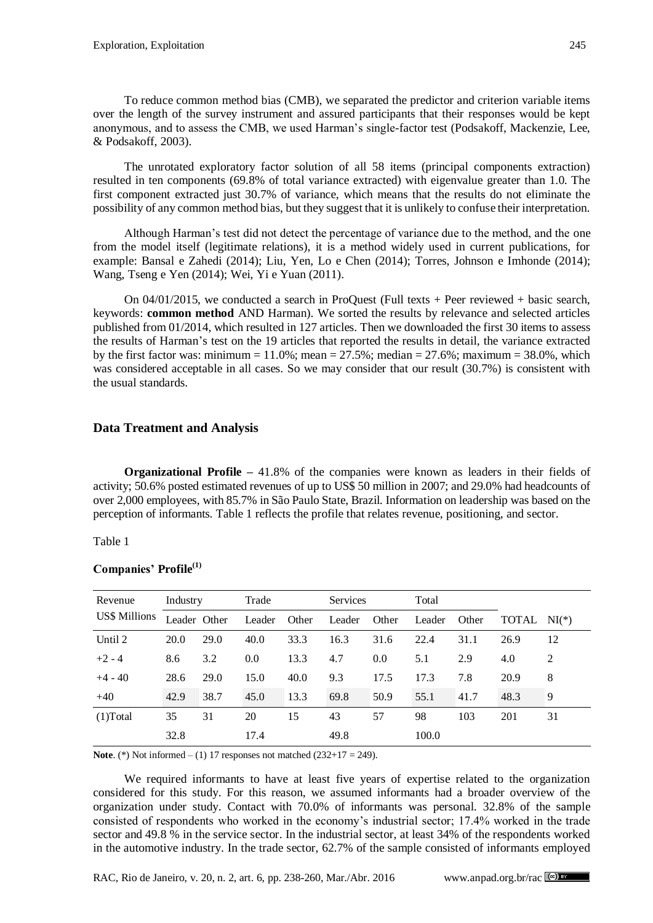To reduce common method bias (CMB), we separated the predictor and criterion variable items over the length of the survey instrument and assured participants that their responses would be kept anonymous, and to assess the CMB, we used Harman's single-factor test (Podsakoff, Mackenzie, Lee, & Podsakoff, 2003).

The unrotated exploratory factor solution of all 58 items (principal components extraction) resulted in ten components (69.8% of total variance extracted) with eigenvalue greater than 1.0. The first component extracted just 30.7% of variance, which means that the results do not eliminate the possibility of any common method bias, but they suggest that it is unlikely to confuse their interpretation.

Although Harman's test did not detect the percentage of variance due to the method, and the one from the model itself (legitimate relations), it is a method widely used in current publications, for example: Bansal e Zahedi (2014); Liu, Yen, Lo e Chen (2014); Torres, Johnson e Imhonde (2014); Wang, Tseng e Yen (2014); Wei, Yi e Yuan (2011).

On 04/01/2015, we conducted a search in ProQuest (Full texts + Peer reviewed + basic search, keywords: **common method** AND Harman). We sorted the results by relevance and selected articles published from 01/2014, which resulted in 127 articles. Then we downloaded the first 30 items to assess the results of Harman's test on the 19 articles that reported the results in detail, the variance extracted by the first factor was: minimum =  $11.0\%$ ; mean =  $27.5\%$ ; median =  $27.6\%$ ; maximum =  $38.0\%$ , which was considered acceptable in all cases. So we may consider that our result (30.7%) is consistent with the usual standards.

## **Data Treatment and Analysis**

**Organizational Profile –** 41.8% of the companies were known as leaders in their fields of activity; 50.6% posted estimated revenues of up to US\$ 50 million in 2007; and 29.0% had headcounts of over 2,000 employees, with 85.7% in São Paulo State, Brazil. Information on leadership was based on the perception of informants. Table 1 reflects the profile that relates revenue, positioning, and sector.

Table 1

| Revenue              | Industry     |             | Trade  |       | Services |       | Total  |       |       |         |
|----------------------|--------------|-------------|--------|-------|----------|-------|--------|-------|-------|---------|
| <b>US\$ Millions</b> | Leader Other |             | Leader | Other | Leader   | Other | Leader | Other | TOTAL | $NI(*)$ |
| Until 2              | 20.0         | 29.0        | 40.0   | 33.3  | 16.3     | 31.6  | 22.4   | 31.1  | 26.9  | 12      |
| $+2 - 4$             | 8.6          | 3.2         | 0.0    | 13.3  | 4.7      | 0.0   | 5.1    | 2.9   | 4.0   | 2       |
| $+4 - 40$            | 28.6         | <b>29.0</b> | 15.0   | 40.0  | 9.3      | 17.5  | 17.3   | 7.8   | 20.9  | 8       |
| $+40$                | 42.9         | 38.7        | 45.0   | 13.3  | 69.8     | 50.9  | 55.1   | 41.7  | 48.3  | 9       |
| (1) Total            | 35           | 31          | 20     | 15    | 43       | 57    | 98     | 103   | 201   | 31      |
|                      | 32.8         |             | 17.4   |       | 49.8     |       | 100.0  |       |       |         |

# **Companies' Profile(1)**

**Note**. (\*) Not informed – (1) 17 responses not matched (232+17 = 249).

We required informants to have at least five years of expertise related to the organization considered for this study. For this reason, we assumed informants had a broader overview of the organization under study. Contact with 70.0% of informants was personal. 32.8% of the sample consisted of respondents who worked in the economy's industrial sector; 17.4% worked in the trade sector and 49.8 % in the service sector. In the industrial sector, at least 34% of the respondents worked in the automotive industry. In the trade sector, 62.7% of the sample consisted of informants employed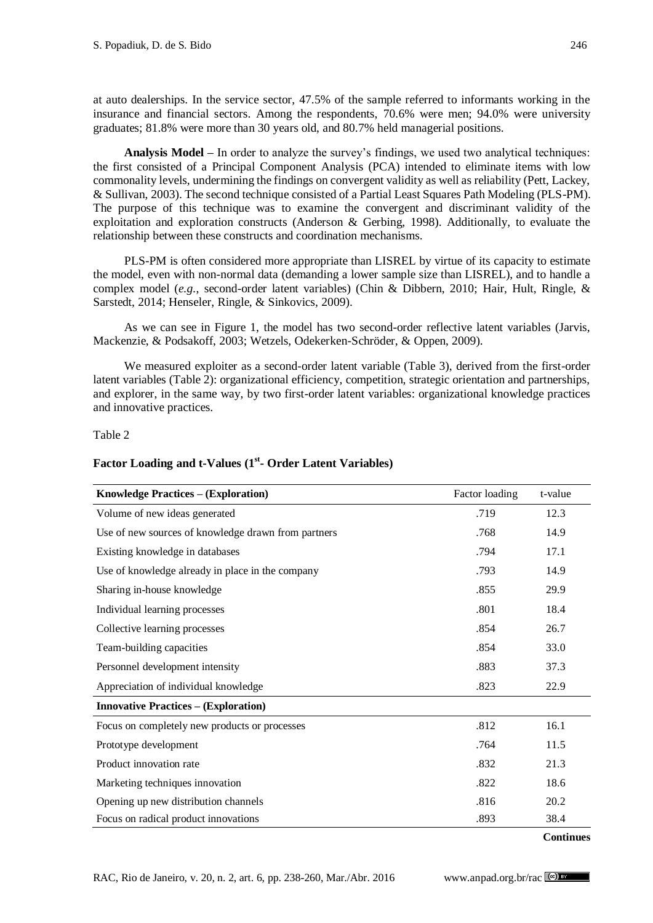at auto dealerships. In the service sector, 47.5% of the sample referred to informants working in the insurance and financial sectors. Among the respondents, 70.6% were men; 94.0% were university graduates; 81.8% were more than 30 years old, and 80.7% held managerial positions.

**Analysis Model –** In order to analyze the survey's findings, we used two analytical techniques: the first consisted of a Principal Component Analysis (PCA) intended to eliminate items with low commonality levels, undermining the findings on convergent validity as well as reliability (Pett, Lackey, & Sullivan, 2003). The second technique consisted of a Partial Least Squares Path Modeling (PLS-PM). The purpose of this technique was to examine the convergent and discriminant validity of the exploitation and exploration constructs (Anderson & Gerbing, 1998). Additionally, to evaluate the relationship between these constructs and coordination mechanisms.

PLS-PM is often considered more appropriate than LISREL by virtue of its capacity to estimate the model, even with non-normal data (demanding a lower sample size than LISREL), and to handle a complex model (*e.g.*, second-order latent variables) (Chin & Dibbern, 2010; Hair, Hult, Ringle, & Sarstedt, 2014; Henseler, Ringle, & Sinkovics, 2009).

As we can see in Figure 1, the model has two second-order reflective latent variables (Jarvis, Mackenzie, & Podsakoff, 2003; Wetzels, Odekerken-Schröder, & Oppen, 2009).

We measured exploiter as a second-order latent variable (Table 3), derived from the first-order latent variables (Table 2): organizational efficiency, competition, strategic orientation and partnerships, and explorer, in the same way, by two first-order latent variables: organizational knowledge practices and innovative practices.

Table 2

| Knowledge Practices – (Exploration)                 | Factor loading | t-value        |
|-----------------------------------------------------|----------------|----------------|
| Volume of new ideas generated                       | .719           | 12.3           |
| Use of new sources of knowledge drawn from partners | .768           | 14.9           |
| Existing knowledge in databases                     | .794           | 17.1           |
| Use of knowledge already in place in the company    | .793           | 14.9           |
| Sharing in-house knowledge                          | .855           | 29.9           |
| Individual learning processes                       | .801           | 18.4           |
| Collective learning processes                       | .854           | 26.7           |
| Team-building capacities                            | .854           | 33.0           |
| Personnel development intensity                     | .883           | 37.3           |
| Appreciation of individual knowledge                | .823           | 22.9           |
| <b>Innovative Practices – (Exploration)</b>         |                |                |
| Focus on completely new products or processes       | .812           | 16.1           |
| Prototype development                               | .764           | 11.5           |
| Product innovation rate                             | .832           | 21.3           |
| Marketing techniques innovation                     | .822           | 18.6           |
| Opening up new distribution channels                | .816           | 20.2           |
| Focus on radical product innovations                | .893           | 38.4           |
|                                                     |                | $\sim$ $\cdot$ |

## **Factor Loading and t-Values (1st - Order Latent Variables)**

**Continues**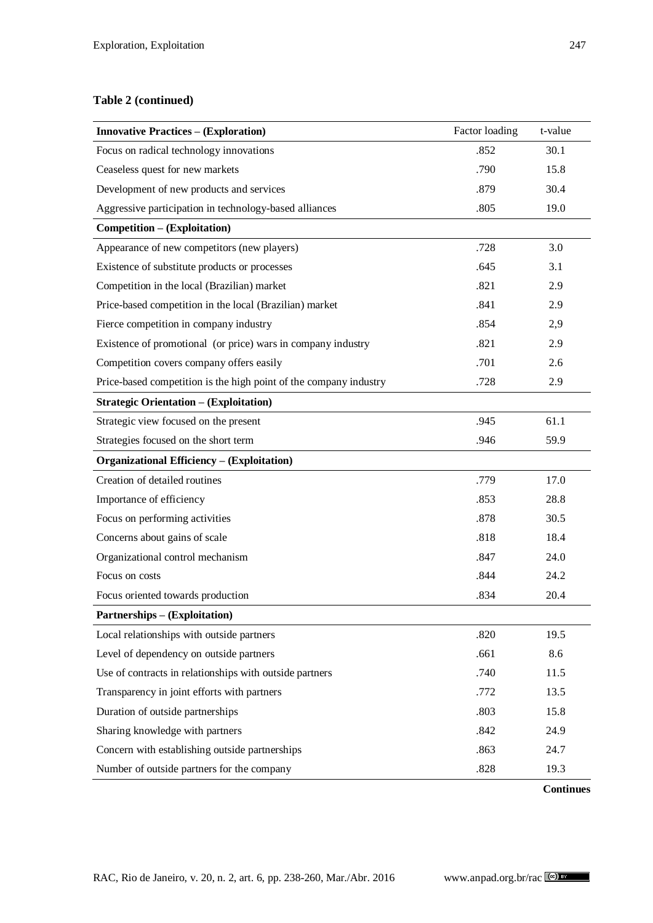# **Table 2 (continued)**

| <b>Innovative Practices – (Exploration)</b>                       | Factor loading | t-value |
|-------------------------------------------------------------------|----------------|---------|
| Focus on radical technology innovations                           | .852           | 30.1    |
| Ceaseless quest for new markets                                   | .790           | 15.8    |
| Development of new products and services                          | .879           | 30.4    |
| Aggressive participation in technology-based alliances            | .805           | 19.0    |
| Competition - (Exploitation)                                      |                |         |
| Appearance of new competitors (new players)                       | .728           | 3.0     |
| Existence of substitute products or processes                     | .645           | 3.1     |
| Competition in the local (Brazilian) market                       | .821           | 2.9     |
| Price-based competition in the local (Brazilian) market           | .841           | 2.9     |
| Fierce competition in company industry                            | .854           | 2,9     |
| Existence of promotional (or price) wars in company industry      | .821           | 2.9     |
| Competition covers company offers easily                          | .701           | 2.6     |
| Price-based competition is the high point of the company industry | .728           | 2.9     |
| <b>Strategic Orientation - (Exploitation)</b>                     |                |         |
| Strategic view focused on the present                             | .945           | 61.1    |
| Strategies focused on the short term                              | .946           | 59.9    |
| <b>Organizational Efficiency - (Exploitation)</b>                 |                |         |
| Creation of detailed routines                                     | .779           | 17.0    |
| Importance of efficiency                                          | .853           | 28.8    |
| Focus on performing activities                                    | .878           | 30.5    |
| Concerns about gains of scale                                     | .818           | 18.4    |
| Organizational control mechanism                                  | .847           | 24.0    |
| Focus on costs                                                    | .844           | 24.2    |
| Focus oriented towards production                                 | .834           | 20.4    |
| Partnerships - (Exploitation)                                     |                |         |
| Local relationships with outside partners                         | .820           | 19.5    |
| Level of dependency on outside partners                           | .661           | 8.6     |
| Use of contracts in relationships with outside partners           | .740           | 11.5    |
| Transparency in joint efforts with partners                       | .772           | 13.5    |
| Duration of outside partnerships                                  | .803           | 15.8    |
| Sharing knowledge with partners                                   | .842           | 24.9    |
| Concern with establishing outside partnerships                    | .863           | 24.7    |
| Number of outside partners for the company                        | .828           | 19.3    |

**Continues**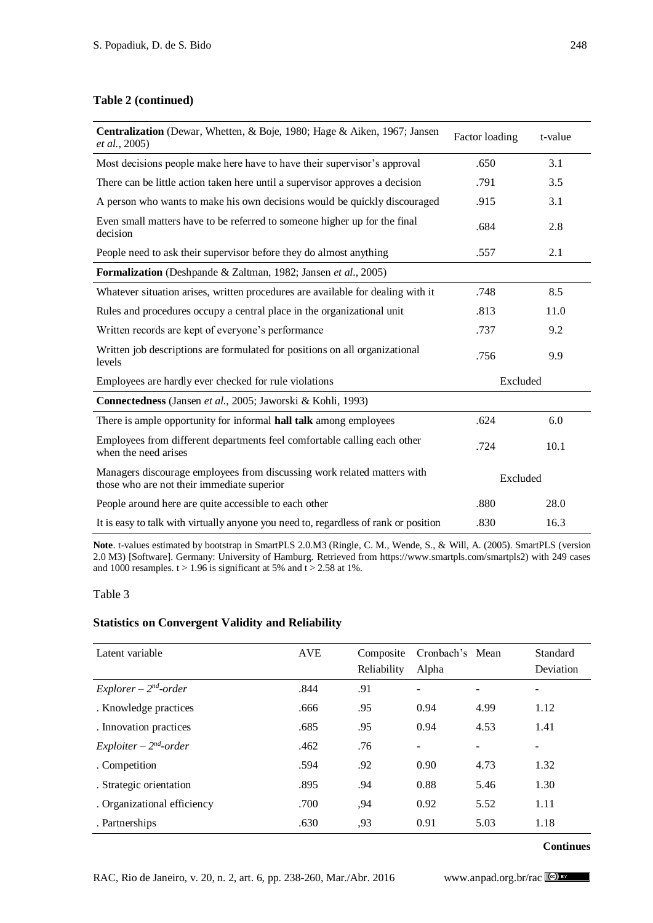## **Table 2 (continued)**

| Centralization (Dewar, Whetten, & Boje, 1980; Hage & Aiken, 1967; Jansen<br><i>et al.</i> , 2005)                     | Factor loading | t-value |  |
|-----------------------------------------------------------------------------------------------------------------------|----------------|---------|--|
| Most decisions people make here have to have their supervisor's approval                                              | .650           | 3.1     |  |
| There can be little action taken here until a supervisor approves a decision                                          | .791           | 3.5     |  |
| A person who wants to make his own decisions would be quickly discouraged                                             | .915           | 3.1     |  |
| Even small matters have to be referred to someone higher up for the final<br>decision                                 | .684           | 2.8     |  |
| People need to ask their supervisor before they do almost anything                                                    | .557           | 2.1     |  |
| Formalization (Deshpande & Zaltman, 1982; Jansen et al., 2005)                                                        |                |         |  |
| Whatever situation arises, written procedures are available for dealing with it                                       | .748           | 8.5     |  |
| Rules and procedures occupy a central place in the organizational unit                                                | .813           | 11.0    |  |
| Written records are kept of everyone's performance                                                                    | .737           | 9.2     |  |
| Written job descriptions are formulated for positions on all organizational<br>levels                                 | .756           | 9.9     |  |
| Employees are hardly ever checked for rule violations                                                                 | Excluded       |         |  |
| Connectedness (Jansen et al., 2005; Jaworski & Kohli, 1993)                                                           |                |         |  |
| There is ample opportunity for informal hall talk among employees                                                     | .624           | 6.0     |  |
| Employees from different departments feel comfortable calling each other<br>when the need arises                      | .724           | 10.1    |  |
| Managers discourage employees from discussing work related matters with<br>those who are not their immediate superior | Excluded       |         |  |
| People around here are quite accessible to each other                                                                 | .880           | 28.0    |  |
| It is easy to talk with virtually anyone you need to, regardless of rank or position                                  | .830           | 16.3    |  |

**Note**. t-values estimated by bootstrap in SmartPLS 2.0.M3 (Ringle, C. M., Wende, S., & Will, A. (2005). SmartPLS (version 2.0 M3) [Software]. Germany: University of Hamburg. Retrieved from https://www.smartpls.com/smartpls2) with 249 cases and 1000 resamples.  $t > 1.96$  is significant at 5% and  $t > 2.58$  at 1%.

## Table 3

## **Statistics on Convergent Validity and Reliability**

| Latent variable             | <b>AVE</b> | Composite<br>Reliability | Cronbach's Mean<br>Alpha |      | Standard<br>Deviation |
|-----------------------------|------------|--------------------------|--------------------------|------|-----------------------|
| $Explorer-2nd-order$        | .844       | .91                      |                          |      | ۰                     |
| . Knowledge practices       | .666       | .95                      | 0.94                     | 4.99 | 1.12                  |
| . Innovation practices      | .685       | .95                      | 0.94                     | 4.53 | 1.41                  |
| $Exploiter-2nd-order$       | .462       | .76                      |                          |      |                       |
| . Competition               | .594       | .92                      | 0.90                     | 4.73 | 1.32                  |
| . Strategic orientation     | .895       | .94                      | 0.88                     | 5.46 | 1.30                  |
| . Organizational efficiency | .700       | ,94                      | 0.92                     | 5.52 | 1.11                  |
| . Partnerships              | .630       | ,93                      | 0.91                     | 5.03 | 1.18                  |

**Continues**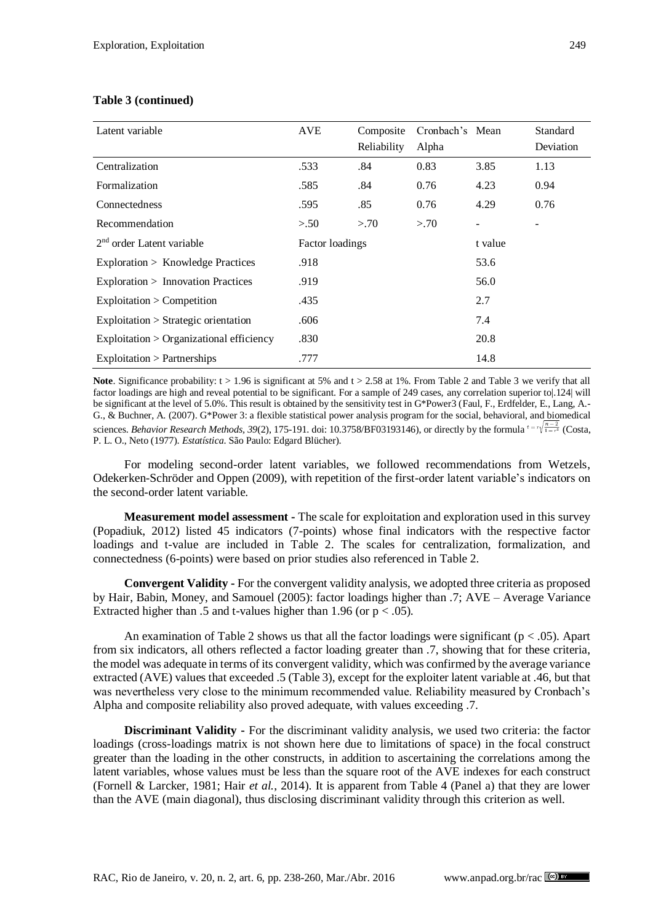## **Table 3 (continued)**

| Latent variable                            | AVE             | Composite   | Cronbach's Mean |                          | Standard  |  |
|--------------------------------------------|-----------------|-------------|-----------------|--------------------------|-----------|--|
|                                            |                 | Reliability | Alpha           |                          | Deviation |  |
| Centralization                             | .533            | .84         | 0.83            | 3.85                     | 1.13      |  |
| Formalization                              | .585            | .84         | 0.76<br>4.23    |                          | 0.94      |  |
| Connectedness                              | .595            | .85         | 0.76            | 4.29                     | 0.76      |  |
| Recommendation                             | > 50            | > 70        | > 70            | $\overline{\phantom{0}}$ |           |  |
| $2nd$ order Latent variable                | Factor loadings |             |                 | t value                  |           |  |
| Exploration > Knowledge Practices          | .918            |             |                 | 53.6                     |           |  |
| Exploration > Innovation Practices         | .919            |             |                 |                          |           |  |
| Exploitation > Competition                 | .435            |             |                 | 2.7                      |           |  |
| Exploitation > Strategic orientation       | .606            |             |                 | 7.4                      |           |  |
| Exploitation $>$ Organizational efficiency | .830            |             |                 | 20.8                     |           |  |
| Exploitation > Partnerships                | .777            |             |                 | 14.8                     |           |  |

**Note**. Significance probability:  $t > 1.96$  is significant at 5% and  $t > 2.58$  at 1%. From Table 2 and Table 3 we verify that all factor loadings are high and reveal potential to be significant. For a sample of 249 cases, any correlation superior to 1.24 will be significant at the level of 5.0%. This result is obtained by the sensitivity test in G\*Power3 (Faul, F., Erdfelder, E., Lang, A.- G., & Buchner, A. (2007). G\*Power 3: a flexible statistical power analysis program for the social, behavioral, and biomedical sciences. *Behavior Research Methods, 39(2), 175-191.* doi: 10.3758/BF03193146), or directly by the formula  $t = r\sqrt{\frac{n-2}{1-r^2}}$  (Costa, P. L. O., Neto (1977). *Estatística*. São Paulo: Edgard Blücher).

For modeling second-order latent variables, we followed recommendations from Wetzels, Odekerken-Schröder and Oppen (2009), with repetition of the first-order latent variable's indicators on the second-order latent variable.

**Measurement model assessment -** The scale for exploitation and exploration used in this survey (Popadiuk, 2012) listed 45 indicators (7-points) whose final indicators with the respective factor loadings and t-value are included in Table 2. The scales for centralization, formalization, and connectedness (6-points) were based on prior studies also referenced in Table 2.

**Convergent Validity -** For the convergent validity analysis, we adopted three criteria as proposed by Hair, Babin, Money, and Samouel (2005): factor loadings higher than .7; AVE – Average Variance Extracted higher than .5 and t-values higher than 1.96 (or  $p < .05$ ).

An examination of Table 2 shows us that all the factor loadings were significant ( $p < .05$ ). Apart from six indicators, all others reflected a factor loading greater than .7, showing that for these criteria, the model was adequate in terms of its convergent validity, which was confirmed by the average variance extracted (AVE) values that exceeded .5 (Table 3), except for the exploiter latent variable at .46, but that was nevertheless very close to the minimum recommended value. Reliability measured by Cronbach's Alpha and composite reliability also proved adequate, with values exceeding .7.

**Discriminant Validity -** For the discriminant validity analysis, we used two criteria: the factor loadings (cross-loadings matrix is not shown here due to limitations of space) in the focal construct greater than the loading in the other constructs, in addition to ascertaining the correlations among the latent variables, whose values must be less than the square root of the AVE indexes for each construct (Fornell & Larcker, 1981; Hair *et al.*, 2014). It is apparent from Table 4 (Panel a) that they are lower than the AVE (main diagonal), thus disclosing discriminant validity through this criterion as well.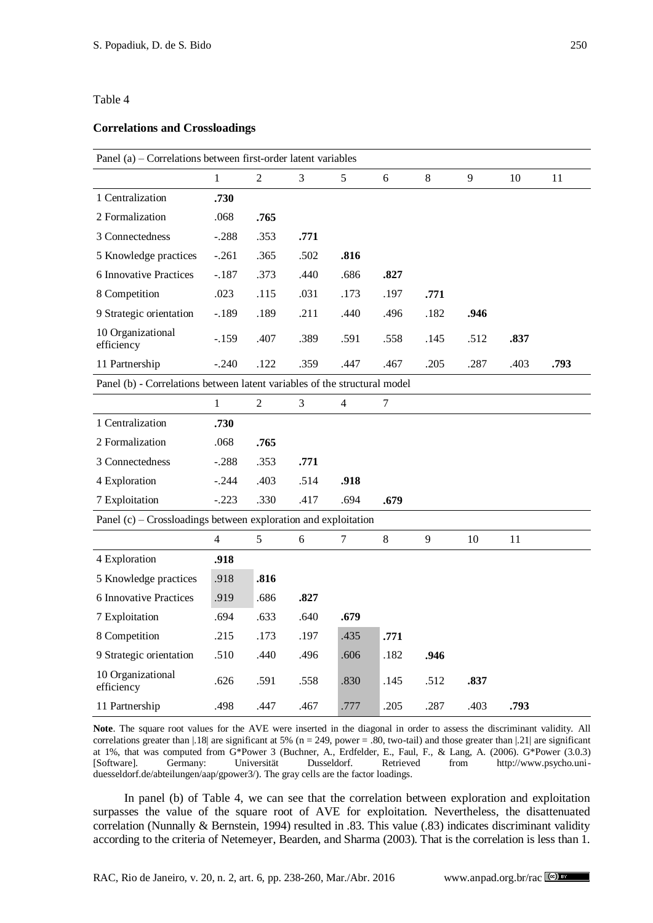#### Table 4

## **Correlations and Crossloadings**

| Panel (a) – Correlations between first-order latent variables             |         |                |      |                |        |      |      |      |      |
|---------------------------------------------------------------------------|---------|----------------|------|----------------|--------|------|------|------|------|
|                                                                           | 1       | $\overline{2}$ | 3    | 5              | 6      | 8    | 9    | 10   | 11   |
| 1 Centralization                                                          | .730    |                |      |                |        |      |      |      |      |
| 2 Formalization                                                           | .068    | .765           |      |                |        |      |      |      |      |
| 3 Connectedness                                                           | $-.288$ | .353           | .771 |                |        |      |      |      |      |
| 5 Knowledge practices                                                     | $-.261$ | .365           | .502 | .816           |        |      |      |      |      |
| 6 Innovative Practices                                                    | $-.187$ | .373           | .440 | .686           | .827   |      |      |      |      |
| 8 Competition                                                             | .023    | .115           | .031 | .173           | .197   | .771 |      |      |      |
| 9 Strategic orientation                                                   | $-.189$ | .189           | .211 | .440           | .496   | .182 | .946 |      |      |
| 10 Organizational<br>efficiency                                           | $-.159$ | .407           | .389 | .591           | .558   | .145 | .512 | .837 |      |
| 11 Partnership                                                            | $-.240$ | .122           | .359 | .447           | .467   | .205 | .287 | .403 | .793 |
| Panel (b) - Correlations between latent variables of the structural model |         |                |      |                |        |      |      |      |      |
|                                                                           | 1       | $\overline{2}$ | 3    | $\overline{4}$ | $\tau$ |      |      |      |      |
| 1 Centralization                                                          | .730    |                |      |                |        |      |      |      |      |
| 2 Formalization                                                           | .068    | .765           |      |                |        |      |      |      |      |
| 3 Connectedness                                                           | $-.288$ | .353           | .771 |                |        |      |      |      |      |
| 4 Exploration                                                             | $-.244$ | .403           | .514 | .918           |        |      |      |      |      |
| 7 Exploitation                                                            | $-.223$ | .330           | .417 | .694           | .679   |      |      |      |      |
| Panel $(c)$ – Crossloadings between exploration and exploitation          |         |                |      |                |        |      |      |      |      |
|                                                                           | 4       | 5              | 6    | 7              | 8      | 9    | 10   | 11   |      |
| 4 Exploration                                                             | .918    |                |      |                |        |      |      |      |      |
| 5 Knowledge practices                                                     | .918    | .816           |      |                |        |      |      |      |      |
| 6 Innovative Practices                                                    | .919    | .686           | .827 |                |        |      |      |      |      |
| 7 Exploitation                                                            | .694    | .633           | .640 | .679           |        |      |      |      |      |
| 8 Competition                                                             | .215    | .173           | .197 | .435           | .771   |      |      |      |      |
| 9 Strategic orientation                                                   | .510    | .440           | .496 | .606           | .182   | .946 |      |      |      |
| 10 Organizational<br>efficiency                                           | .626    | .591           | .558 | .830           | .145   | .512 | .837 |      |      |
| 11 Partnership                                                            | .498    | .447           | .467 | .777           | .205   | .287 | .403 | .793 |      |

Note. The square root values for the AVE were inserted in the diagonal in order to assess the discriminant validity. All correlations greater than  $|.18|$  are significant at 5% (n = 249, power = .80, two-tail) and those greater than  $|.21|$  are significant at 1%, that was computed from  $\bar{G}^*$ Power 3 (Buchner, A., Erdfelder, E., Faul, F., & Lang, A. (2006).  $G^*$ Power (3.0.3)<br>
[Software]. Germany: Universität Dusseldorf. Retrieved from http://www.psycho.uni-[Software]. Germany: Universität Dusseldorf. Retrieved from http://www.psycho.uniduesseldorf.de/abteilungen/aap/gpower3/). The gray cells are the factor loadings.

In panel (b) of Table 4, we can see that the correlation between exploration and exploitation surpasses the value of the square root of AVE for exploitation. Nevertheless, the disattenuated correlation (Nunnally & Bernstein, 1994) resulted in .83. This value (.83) indicates discriminant validity according to the criteria of Netemeyer, Bearden, and Sharma (2003). That is the correlation is less than 1.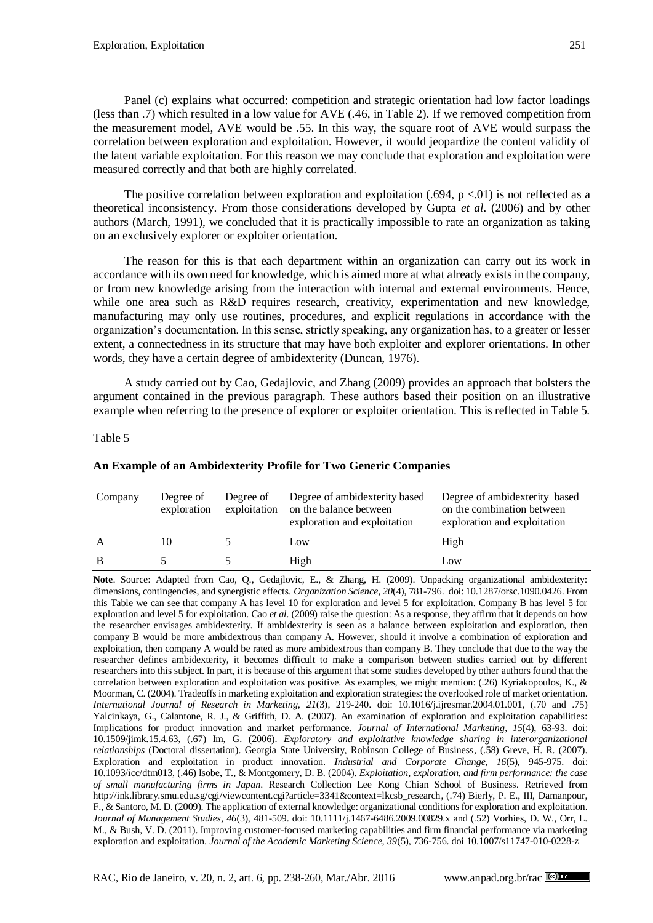Panel (c) explains what occurred: competition and strategic orientation had low factor loadings (less than .7) which resulted in a low value for AVE (.46, in Table 2). If we removed competition from the measurement model, AVE would be .55. In this way, the square root of AVE would surpass the correlation between exploration and exploitation. However, it would jeopardize the content validity of the latent variable exploitation. For this reason we may conclude that exploration and exploitation were measured correctly and that both are highly correlated.

The positive correlation between exploration and exploitation  $(.694, p < .01)$  is not reflected as a theoretical inconsistency. From those considerations developed by Gupta *et al.* (2006) and by other authors (March, 1991), we concluded that it is practically impossible to rate an organization as taking on an exclusively explorer or exploiter orientation.

The reason for this is that each department within an organization can carry out its work in accordance with its own need for knowledge, which is aimed more at what already exists in the company, or from new knowledge arising from the interaction with internal and external environments. Hence, while one area such as R&D requires research, creativity, experimentation and new knowledge, manufacturing may only use routines, procedures, and explicit regulations in accordance with the organization's documentation. In this sense, strictly speaking, any organization has, to a greater or lesser extent, a connectedness in its structure that may have both exploiter and explorer orientations. In other words, they have a certain degree of ambidexterity (Duncan, 1976).

A study carried out by Cao, Gedajlovic, and Zhang (2009) provides an approach that bolsters the argument contained in the previous paragraph. These authors based their position on an illustrative example when referring to the presence of explorer or exploiter orientation. This is reflected in Table 5.

## Table 5

| Company | Degree of<br>exploration | Degree of | Degree of ambidexterity based<br>exploitation on the balance between<br>exploration and exploitation | Degree of ambidexterity based<br>on the combination between<br>exploration and exploitation |
|---------|--------------------------|-----------|------------------------------------------------------------------------------------------------------|---------------------------------------------------------------------------------------------|
|         |                          |           | Low                                                                                                  | High                                                                                        |
| B       |                          |           | High                                                                                                 | Low                                                                                         |

#### **An Example of an Ambidexterity Profile for Two Generic Companies**

**Note**. Source: Adapted from Cao, Q., Gedajlovic, E., & Zhang, H. (2009). Unpacking organizational ambidexterity: dimensions, contingencies, and synergistic effects. *Organization Science, 20*(4), 781-796. doi: 10.1287/orsc.1090.0426. From this Table we can see that company A has level 10 for exploration and level 5 for exploitation. Company B has level 5 for exploration and level 5 for exploitation. Cao *et al.* (2009) raise the question: As a response, they affirm that it depends on how the researcher envisages ambidexterity. If ambidexterity is seen as a balance between exploitation and exploration, then company B would be more ambidextrous than company A. However, should it involve a combination of exploration and exploitation, then company A would be rated as more ambidextrous than company B. They conclude that due to the way the researcher defines ambidexterity, it becomes difficult to make a comparison between studies carried out by different researchers into this subject. In part, it is because of this argument that some studies developed by other authors found that the correlation between exploration and exploitation was positive. As examples, we might mention: (.26) Kyriakopoulos, K., & Moorman, C. (2004). Tradeoffs in marketing exploitation and exploration strategies: the overlooked role of market orientation. *International Journal of Research in Marketing, 21*(3), 219-240. doi: 10.1016/j.ijresmar.2004.01.001, (.70 and .75) Yalcinkaya, G., Calantone, R. J., & Griffith, D. A. (2007). An examination of exploration and exploitation capabilities: Implications for product innovation and market performance. *Journal of International Marketing*, *15*(4), 63-93. doi: 10.1509/jimk.15.4.63, (.67) Im, G. (2006). *Exploratory and exploitative knowledge sharing in interorganizational relationships* (Doctoral dissertation). Georgia State University, Robinson College of Business, (.58) Greve, H. R. (2007). Exploration and exploitation in product innovation. *Industrial and Corporate Change, 16*(5), 945-975. doi: 10.1093/icc/dtm013, (.46) Isobe, T., & Montgomery, D. B. (2004). *Exploitation, exploration, and firm performance: the case of small manufacturing firms in Japan*. Research Collection Lee Kong Chian School of Business*.* Retrieved from http://ink.library.smu.edu.sg/cgi/viewcontent.cgi?article=3341&context=lkcsb\_research, (.74) Bierly, P. E., III, Damanpour, F., & Santoro, M. D. (2009). The application of external knowledge: organizational conditions for exploration and exploitation. *Journal of Management Studies, 46*(3), 481-509. doi: 10.1111/j.1467-6486.2009.00829.x and (.52) Vorhies, D. W., Orr, L. M., & Bush, V. D. (2011). Improving customer-focused marketing capabilities and firm financial performance via marketing exploration and exploitation. *Journal of the Academic Marketing Science, 39*(5), 736-756. doi 10.1007/s11747-010-0228-z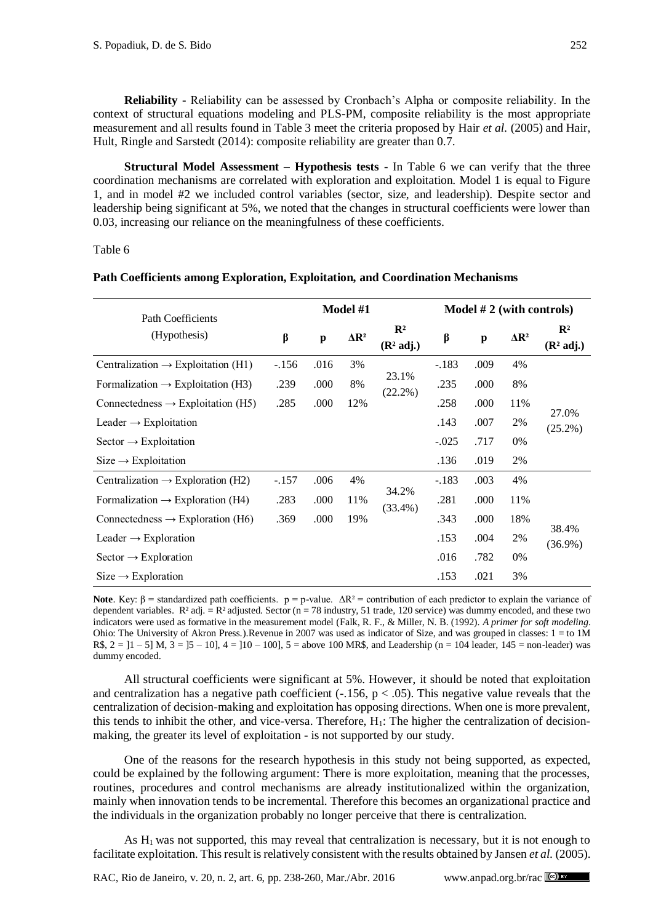**Reliability -** Reliability can be assessed by Cronbach's Alpha or composite reliability. In the context of structural equations modeling and PLS-PM, composite reliability is the most appropriate measurement and all results found in Table 3 meet the criteria proposed by Hair *et al.* (2005) and Hair, Hult, Ringle and Sarstedt (2014): composite reliability are greater than 0.7.

**Structural Model Assessment – Hypothesis tests -** In Table 6 we can verify that the three coordination mechanisms are correlated with exploration and exploitation. Model 1 is equal to Figure 1, and in model #2 we included control variables (sector, size, and leadership). Despite sector and leadership being significant at 5%, we noted that the changes in structural coefficients were lower than 0.03, increasing our reliance on the meaningfulness of these coefficients.

#### Table 6

|                                                | Model #1 |              |                         |                                         | Model $# 2$ (with controls) |              |                         |                                         |
|------------------------------------------------|----------|--------------|-------------------------|-----------------------------------------|-----------------------------|--------------|-------------------------|-----------------------------------------|
| <b>Path Coefficients</b><br>(Hypothesis)       | β        | $\mathbf{p}$ | $\Delta$ R <sup>2</sup> | $\mathbf{R}^2$<br>(R <sup>2</sup> adj.) | β                           | $\mathbf{p}$ | $\Delta$ R <sup>2</sup> | $\mathbb{R}^2$<br>(R <sup>2</sup> adj.) |
| Centralization $\rightarrow$ Exploitation (H1) | $-156$   | .016         | 3%                      |                                         | $-.183$                     | .009         | 4%                      |                                         |
| Formalization $\rightarrow$ Exploitation (H3)  | .239     | .000         | 8%                      | 23.1%<br>$(22.2\%)$                     | .235                        | .000         | 8%                      |                                         |
| Connectedness $\rightarrow$ Exploitation (H5)  | .285     | .000         | 12%                     |                                         | .258                        | .000         | 11%                     |                                         |
| Leader $\rightarrow$ Exploitation              |          |              |                         |                                         | .143                        | .007         | 2%                      | 27.0%<br>(25.2%)                        |
| $Sector \rightarrow Exploitation$              |          |              |                         |                                         | $-.025$                     | .717         | 0%                      |                                         |
| $Size \rightarrow Exploitation$                |          |              |                         |                                         | .136                        | .019         | 2%                      |                                         |
| Centralization $\rightarrow$ Exploration (H2)  | $-.157$  | .006         | 4%                      |                                         | $-.183$                     | .003         | 4%                      |                                         |
| Formalization $\rightarrow$ Exploration (H4)   | .283     | .000         | 11%                     | 34.2%<br>$(33.4\%)$                     | .281                        | .000         | 11%                     |                                         |
| Connectedness $\rightarrow$ Exploration (H6)   | .369     | .000         | 19%                     |                                         | .343                        | .000         | 18%                     |                                         |
| Leader $\rightarrow$ Exploration               |          |              |                         |                                         | .153                        | .004         | 2%                      | 38.4%<br>$(36.9\%)$                     |
| $Sector \rightarrow Exploration$               |          |              |                         |                                         | .016                        | .782         | 0%                      |                                         |
| $Size \rightarrow Exploration$                 |          |              |                         |                                         | .153                        | .021         | 3%                      |                                         |

#### **Path Coefficients among Exploration, Exploitation, and Coordination Mechanisms**

**Note**. Key: β = standardized path coefficients.  $p = p$ -value.  $\Delta R^2$  = contribution of each predictor to explain the variance of dependent variables.  $R^2$  adj. =  $R^2$  adjusted. Sector (n = 78 industry, 51 trade, 120 service) was dummy encoded, and these two indicators were used as formative in the measurement model (Falk, R. F., & Miller, N. B. (1992). *A primer for soft modeling*. Ohio: The University of Akron Press.).Revenue in 2007 was used as indicator of Size, and was grouped in classes:  $1 =$  to 1M R\$,  $2 = |1 - 5|$  M,  $3 = |5 - 10|$ ,  $4 = |10 - 100|$ ,  $5 =$  above 100 MR\$, and Leadership (n = 104 leader, 145 = non-leader) was dummy encoded.

All structural coefficients were significant at 5%. However, it should be noted that exploitation and centralization has a negative path coefficient ( $-.156$ , p  $< .05$ ). This negative value reveals that the centralization of decision-making and exploitation has opposing directions. When one is more prevalent, this tends to inhibit the other, and vice-versa. Therefore,  $H_1$ : The higher the centralization of decisionmaking, the greater its level of exploitation - is not supported by our study.

One of the reasons for the research hypothesis in this study not being supported, as expected, could be explained by the following argument: There is more exploitation, meaning that the processes, routines, procedures and control mechanisms are already institutionalized within the organization, mainly when innovation tends to be incremental. Therefore this becomes an organizational practice and the individuals in the organization probably no longer perceive that there is centralization.

As  $H<sub>1</sub>$  was not supported, this may reveal that centralization is necessary, but it is not enough to facilitate exploitation. This result is relatively consistent with the results obtained by Jansen *et al.* (2005).

RAC, Rio de Janeiro, v. 20, n. 2, art. 6, pp. 238-260, Mar./Abr. 2016 www.anpad.org.br/rac (c) BY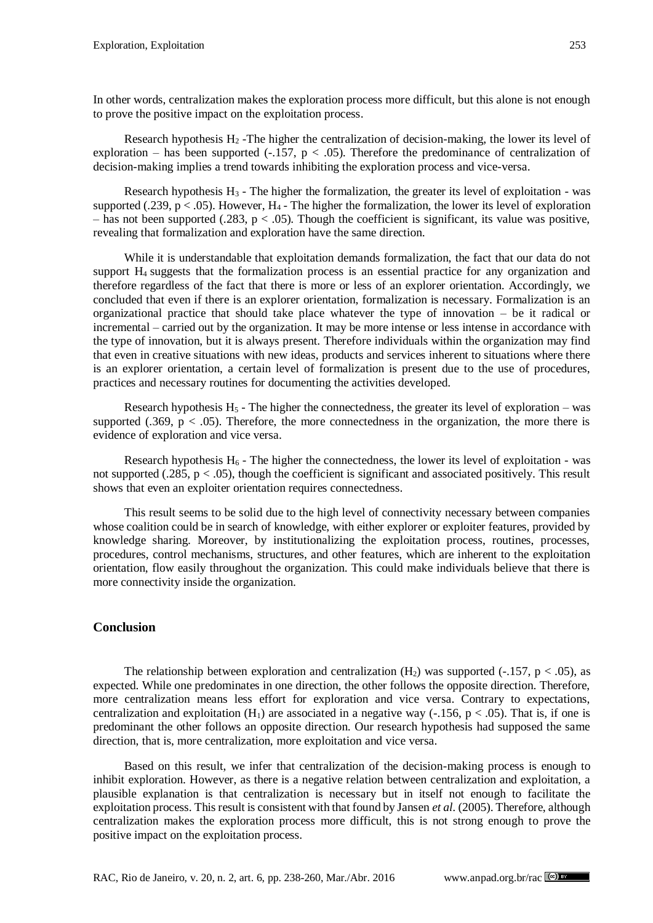In other words, centralization makes the exploration process more difficult, but this alone is not enough to prove the positive impact on the exploitation process.

Research hypothesis  $H_2$ -The higher the centralization of decision-making, the lower its level of exploration – has been supported  $(-.157, p < .05)$ . Therefore the predominance of centralization of decision-making implies a trend towards inhibiting the exploration process and vice-versa.

Research hypothesis  $H_3$  - The higher the formalization, the greater its level of exploitation - was supported (.239,  $p < .05$ ). However,  $H_4$ -The higher the formalization, the lower its level of exploration – has not been supported (.283,  $p < .05$ ). Though the coefficient is significant, its value was positive, revealing that formalization and exploration have the same direction.

While it is understandable that exploitation demands formalization, the fact that our data do not support H<sub>4</sub> suggests that the formalization process is an essential practice for any organization and therefore regardless of the fact that there is more or less of an explorer orientation. Accordingly, we concluded that even if there is an explorer orientation, formalization is necessary. Formalization is an organizational practice that should take place whatever the type of innovation – be it radical or incremental – carried out by the organization. It may be more intense or less intense in accordance with the type of innovation, but it is always present. Therefore individuals within the organization may find that even in creative situations with new ideas, products and services inherent to situations where there is an explorer orientation, a certain level of formalization is present due to the use of procedures, practices and necessary routines for documenting the activities developed.

Research hypothesis  $H_5$  - The higher the connectedness, the greater its level of exploration – was supported (.369,  $p < .05$ ). Therefore, the more connectedness in the organization, the more there is evidence of exploration and vice versa.

Research hypothesis  $H_6$  - The higher the connectedness, the lower its level of exploitation - was not supported (.285,  $p < .05$ ), though the coefficient is significant and associated positively. This result shows that even an exploiter orientation requires connectedness.

This result seems to be solid due to the high level of connectivity necessary between companies whose coalition could be in search of knowledge, with either explorer or exploiter features, provided by knowledge sharing. Moreover, by institutionalizing the exploitation process, routines, processes, procedures, control mechanisms, structures, and other features, which are inherent to the exploitation orientation, flow easily throughout the organization. This could make individuals believe that there is more connectivity inside the organization.

## **Conclusion**

The relationship between exploration and centralization  $(H_2)$  was supported (-.157, p < .05), as expected. While one predominates in one direction, the other follows the opposite direction. Therefore, more centralization means less effort for exploration and vice versa. Contrary to expectations, centralization and exploitation  $(H_1)$  are associated in a negative way (-.156, p < .05). That is, if one is predominant the other follows an opposite direction. Our research hypothesis had supposed the same direction, that is, more centralization, more exploitation and vice versa.

Based on this result, we infer that centralization of the decision-making process is enough to inhibit exploration. However, as there is a negative relation between centralization and exploitation, a plausible explanation is that centralization is necessary but in itself not enough to facilitate the exploitation process. This result is consistent with that found by Jansen *et al.* (2005). Therefore, although centralization makes the exploration process more difficult, this is not strong enough to prove the positive impact on the exploitation process.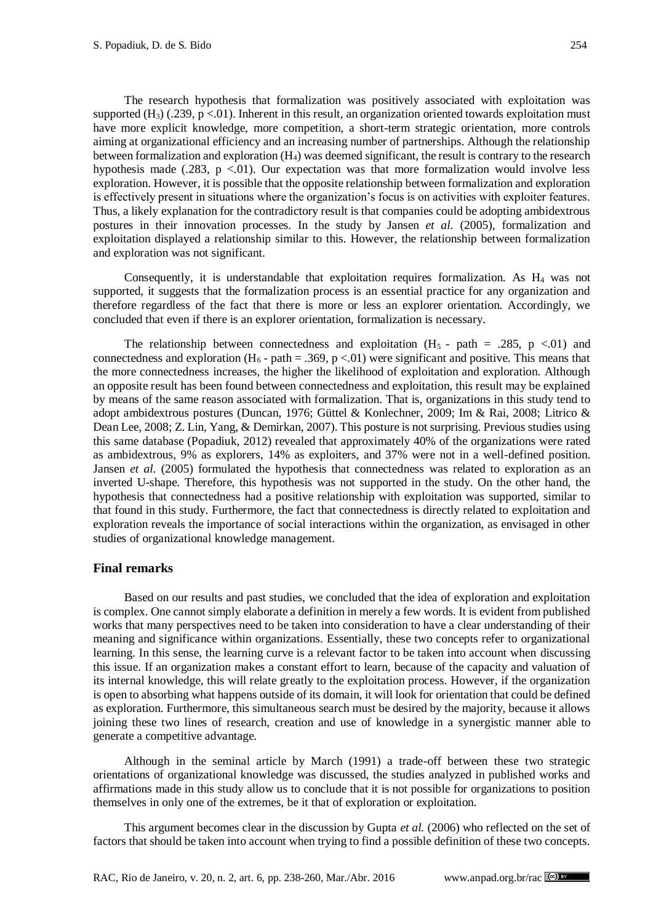The research hypothesis that formalization was positively associated with exploitation was supported  $(H_3)$  (.239, p <.01). Inherent in this result, an organization oriented towards exploitation must have more explicit knowledge, more competition, a short-term strategic orientation, more controls aiming at organizational efficiency and an increasing number of partnerships. Although the relationship between formalization and exploration (H4) was deemed significant, the result is contrary to the research hypothesis made  $(.283, p < .01)$ . Our expectation was that more formalization would involve less exploration. However, it is possible that the opposite relationship between formalization and exploration is effectively present in situations where the organization's focus is on activities with exploiter features. Thus, a likely explanation for the contradictory result is that companies could be adopting ambidextrous postures in their innovation processes. In the study by Jansen *et al.* (2005), formalization and exploitation displayed a relationship similar to this. However, the relationship between formalization and exploration was not significant.

Consequently, it is understandable that exploitation requires formalization. As H<sup>4</sup> was not supported, it suggests that the formalization process is an essential practice for any organization and therefore regardless of the fact that there is more or less an explorer orientation. Accordingly, we concluded that even if there is an explorer orientation, formalization is necessary.

The relationship between connectedness and exploitation (H<sub>5</sub> - path = .285, p <.01) and connectedness and exploration ( $H_6$  - path = .369, p <.01) were significant and positive. This means that the more connectedness increases, the higher the likelihood of exploitation and exploration. Although an opposite result has been found between connectedness and exploitation, this result may be explained by means of the same reason associated with formalization. That is, organizations in this study tend to adopt ambidextrous postures (Duncan, 1976; Güttel & Konlechner, 2009; Im & Rai, 2008; Litrico & Dean Lee, 2008; Z. Lin, Yang, & Demirkan, 2007). This posture is not surprising. Previous studies using this same database (Popadiuk, 2012) revealed that approximately 40% of the organizations were rated as ambidextrous, 9% as explorers, 14% as exploiters, and 37% were not in a well-defined position. Jansen *et al.* (2005) formulated the hypothesis that connectedness was related to exploration as an inverted U-shape. Therefore, this hypothesis was not supported in the study. On the other hand, the hypothesis that connectedness had a positive relationship with exploitation was supported, similar to that found in this study. Furthermore, the fact that connectedness is directly related to exploitation and exploration reveals the importance of social interactions within the organization, as envisaged in other studies of organizational knowledge management.

#### **Final remarks**

Based on our results and past studies, we concluded that the idea of exploration and exploitation is complex. One cannot simply elaborate a definition in merely a few words. It is evident from published works that many perspectives need to be taken into consideration to have a clear understanding of their meaning and significance within organizations. Essentially, these two concepts refer to organizational learning. In this sense, the learning curve is a relevant factor to be taken into account when discussing this issue. If an organization makes a constant effort to learn, because of the capacity and valuation of its internal knowledge, this will relate greatly to the exploitation process. However, if the organization is open to absorbing what happens outside of its domain, it will look for orientation that could be defined as exploration. Furthermore, this simultaneous search must be desired by the majority, because it allows joining these two lines of research, creation and use of knowledge in a synergistic manner able to generate a competitive advantage.

Although in the seminal article by March (1991) a trade-off between these two strategic orientations of organizational knowledge was discussed, the studies analyzed in published works and affirmations made in this study allow us to conclude that it is not possible for organizations to position themselves in only one of the extremes, be it that of exploration or exploitation.

This argument becomes clear in the discussion by Gupta *et al.* (2006) who reflected on the set of factors that should be taken into account when trying to find a possible definition of these two concepts.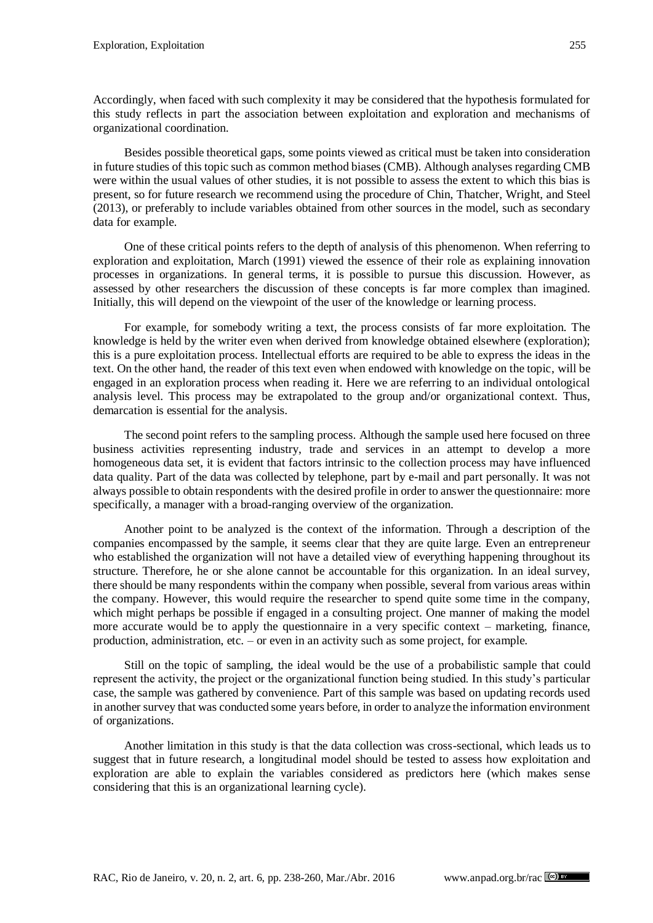Accordingly, when faced with such complexity it may be considered that the hypothesis formulated for this study reflects in part the association between exploitation and exploration and mechanisms of organizational coordination.

Besides possible theoretical gaps, some points viewed as critical must be taken into consideration in future studies of this topic such as common method biases (CMB). Although analyses regarding CMB were within the usual values of other studies, it is not possible to assess the extent to which this bias is present, so for future research we recommend using the procedure of Chin, Thatcher, Wright, and Steel (2013), or preferably to include variables obtained from other sources in the model, such as secondary data for example.

One of these critical points refers to the depth of analysis of this phenomenon. When referring to exploration and exploitation, March (1991) viewed the essence of their role as explaining innovation processes in organizations. In general terms, it is possible to pursue this discussion. However, as assessed by other researchers the discussion of these concepts is far more complex than imagined. Initially, this will depend on the viewpoint of the user of the knowledge or learning process.

For example, for somebody writing a text, the process consists of far more exploitation. The knowledge is held by the writer even when derived from knowledge obtained elsewhere (exploration); this is a pure exploitation process. Intellectual efforts are required to be able to express the ideas in the text. On the other hand, the reader of this text even when endowed with knowledge on the topic, will be engaged in an exploration process when reading it. Here we are referring to an individual ontological analysis level. This process may be extrapolated to the group and/or organizational context. Thus, demarcation is essential for the analysis.

The second point refers to the sampling process. Although the sample used here focused on three business activities representing industry, trade and services in an attempt to develop a more homogeneous data set, it is evident that factors intrinsic to the collection process may have influenced data quality. Part of the data was collected by telephone, part by e-mail and part personally. It was not always possible to obtain respondents with the desired profile in order to answer the questionnaire: more specifically, a manager with a broad-ranging overview of the organization.

Another point to be analyzed is the context of the information. Through a description of the companies encompassed by the sample, it seems clear that they are quite large. Even an entrepreneur who established the organization will not have a detailed view of everything happening throughout its structure. Therefore, he or she alone cannot be accountable for this organization. In an ideal survey, there should be many respondents within the company when possible, several from various areas within the company. However, this would require the researcher to spend quite some time in the company, which might perhaps be possible if engaged in a consulting project. One manner of making the model more accurate would be to apply the questionnaire in a very specific context – marketing, finance, production, administration, etc. – or even in an activity such as some project, for example.

Still on the topic of sampling, the ideal would be the use of a probabilistic sample that could represent the activity, the project or the organizational function being studied. In this study's particular case, the sample was gathered by convenience. Part of this sample was based on updating records used in another survey that was conducted some years before, in order to analyze the information environment of organizations.

Another limitation in this study is that the data collection was cross-sectional, which leads us to suggest that in future research, a longitudinal model should be tested to assess how exploitation and exploration are able to explain the variables considered as predictors here (which makes sense considering that this is an organizational learning cycle).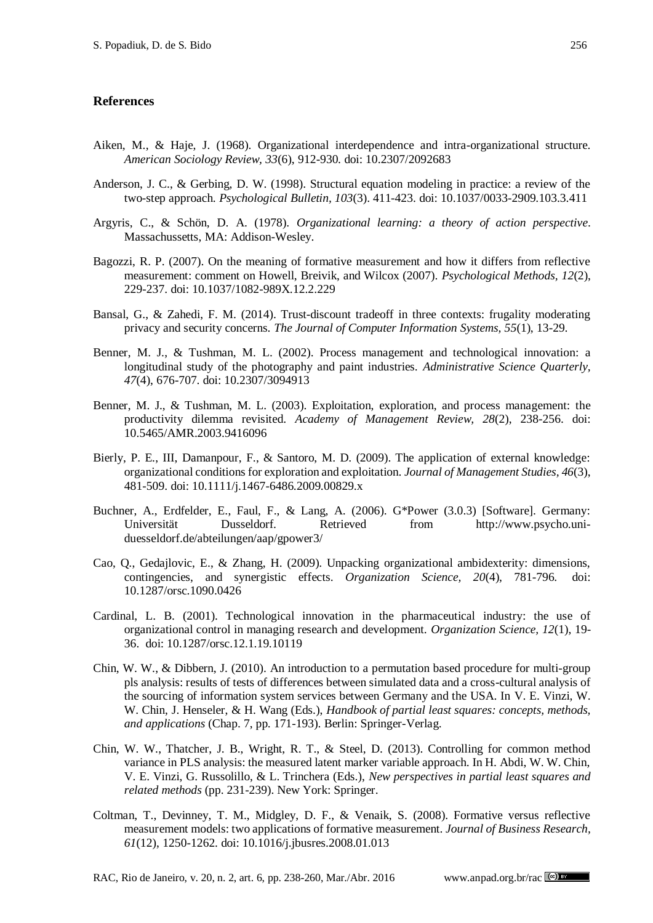#### **References**

- Aiken, M., & Haje, J. (1968). Organizational interdependence and intra-organizational structure. *American Sociology Review, 33*(6), 912-930. doi: 10.2307/2092683
- Anderson, J. C., & Gerbing, D. W. (1998). Structural equation modeling in practice: a review of the two-step approach. *Psychological Bulletin, 103*(3). 411-423. doi: 10.1037/0033-2909.103.3.411
- Argyris, C., & Schön, D. A. (1978). *Organizational learning: a theory of action perspective*. Massachussetts, MA: Addison-Wesley.
- Bagozzi, R. P. (2007). On the meaning of formative measurement and how it differs from reflective measurement: comment on Howell, Breivik, and Wilcox (2007). *Psychological Methods, 12*(2), 229-237. doi: 10.1037/1082-989X.12.2.229
- Bansal, G., & Zahedi, F. M. (2014). Trust-discount tradeoff in three contexts: frugality moderating privacy and security concerns. *The Journal of Computer Information Systems, 55*(1), 13-29.
- Benner, M. J., & Tushman, M. L. (2002). Process management and technological innovation: a longitudinal study of the photography and paint industries. *Administrative Science Quarterly, 47*(4), 676-707. doi: 10.2307/3094913
- Benner, M. J., & Tushman, M. L. (2003). Exploitation, exploration, and process management: the productivity dilemma revisited. *Academy of Management Review, 28*(2), 238-256. doi: 10.5465/AMR.2003.9416096
- Bierly, P. E., III, Damanpour, F., & Santoro, M. D. (2009). The application of external knowledge: organizational conditions for exploration and exploitation. *Journal of Management Studies, 46*(3), 481-509. doi: 10.1111/j.1467-6486.2009.00829.x
- Buchner, A., Erdfelder, E., Faul, F., & Lang, A. (2006). G\*Power (3.0.3) [Software]. Germany: Universität Dusseldorf. Retrieved from http://www.psycho.uniduesseldorf.de/abteilungen/aap/gpower3/
- Cao, Q., Gedajlovic, E., & Zhang, H. (2009). Unpacking organizational ambidexterity: dimensions, contingencies, and synergistic effects. *Organization Science, 20*(4), 781-796. doi: 10.1287/orsc.1090.0426
- Cardinal, L. B. (2001). Technological innovation in the pharmaceutical industry: the use of organizational control in managing research and development. *Organization Science, 12*(1), 19- 36. doi: 10.1287/orsc.12.1.19.10119
- Chin, W. W., & Dibbern, J. (2010). An introduction to a permutation based procedure for multi-group pls analysis: results of tests of differences between simulated data and a cross-cultural analysis of the sourcing of information system services between Germany and the USA. In V. E. Vinzi, W. W. Chin, J. Henseler, & H. Wang (Eds.), *Handbook of partial least squares: concepts, methods, and applications* (Chap. 7, pp. 171-193). Berlin: Springer-Verlag.
- Chin, W. W., Thatcher, J. B., Wright, R. T., & Steel, D. (2013). Controlling for common method variance in PLS analysis: the measured latent marker variable approach. In H. Abdi, W. W. Chin, V. E. Vinzi, G. Russolillo, & L. Trinchera (Eds.), *New perspectives in partial least squares and related methods* (pp. 231-239). New York: Springer.
- Coltman, T., Devinney, T. M., Midgley, D. F., & Venaik, S. (2008). Formative versus reflective measurement models: two applications of formative measurement. *Journal of Business Research, 61*(12), 1250-1262. doi: 10.1016/j.jbusres.2008.01.013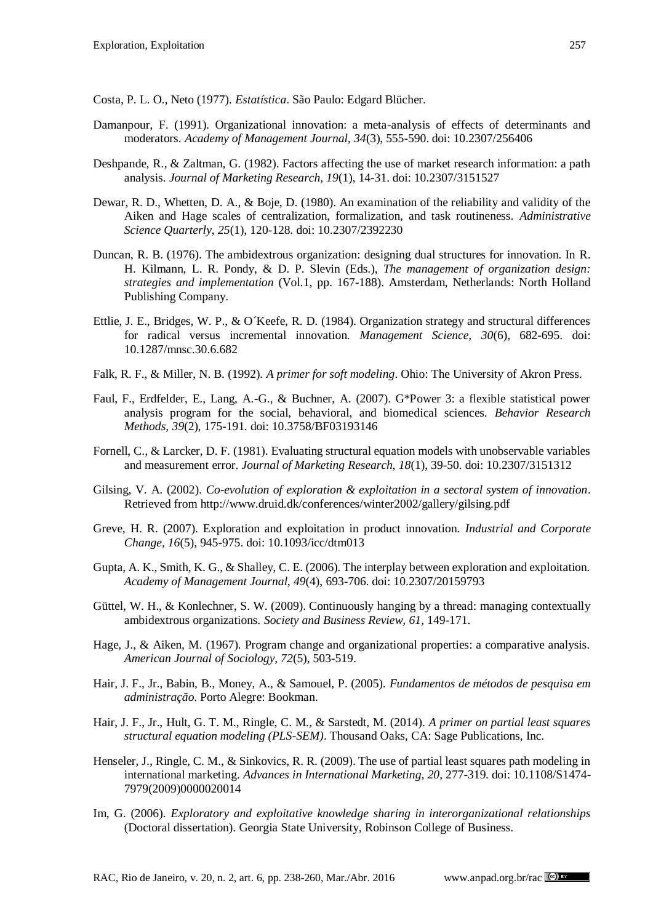Costa, P. L. O., Neto (1977). *Estatística*. São Paulo: Edgard Blücher.

- Damanpour, F. (1991). Organizational innovation: a meta-analysis of effects of determinants and moderators. *Academy of Management Journal, 34*(3), 555-590. doi: 10.2307/256406
- Deshpande, R., & Zaltman, G. (1982). Factors affecting the use of market research information: a path analysis. *Journal of Marketing Research, 19*(1), 14-31. doi: 10.2307/3151527
- Dewar, R. D., Whetten, D. A., & Boje, D. (1980). An examination of the reliability and validity of the Aiken and Hage scales of centralization, formalization, and task routineness. *Administrative Science Quarterly, 25*(1), 120-128. doi: 10.2307/2392230
- Duncan, R. B. (1976). The ambidextrous organization: designing dual structures for innovation. In R. H. Kilmann, L. R. Pondy, & D. P. Slevin (Eds.), *The management of organization design: strategies and implementation* (Vol.1, pp. 167-188). Amsterdam, Netherlands: North Holland Publishing Company.
- Ettlie, J. E., Bridges, W. P., & O´Keefe, R. D. (1984). Organization strategy and structural differences for radical versus incremental innovation. *Management Science, 30*(6), 682-695. doi: 10.1287/mnsc.30.6.682
- Falk, R. F., & Miller, N. B. (1992). *A primer for soft modeling*. Ohio: The University of Akron Press.
- Faul, F., Erdfelder, E., Lang, A.-G., & Buchner, A. (2007). G\*Power 3: a flexible statistical power analysis program for the social, behavioral, and biomedical sciences. *Behavior Research Methods, 39*(2), 175-191. doi: 10.3758/BF03193146
- Fornell, C., & Larcker, D. F. (1981). Evaluating structural equation models with unobservable variables and measurement error. *Journal of Marketing Research, 18*(1), 39-50. doi: 10.2307/3151312
- Gilsing, V. A. (2002). *Co-evolution of exploration & exploitation in a sectoral system of innovation*. Retrieved from http://www.druid.dk/conferences/winter2002/gallery/gilsing.pdf
- Greve, H. R. (2007). Exploration and exploitation in product innovation. *Industrial and Corporate Change, 16*(5), 945-975. doi: 10.1093/icc/dtm013
- Gupta, A. K., Smith, K. G., & Shalley, C. E. (2006). The interplay between exploration and exploitation. *Academy of Management Journal, 49*(4), 693-706. doi: 10.2307/20159793
- Güttel, W. H., & Konlechner, S. W. (2009). Continuously hanging by a thread: managing contextually ambidextrous organizations. *Society and Business Review, 61*, 149-171.
- Hage, J., & Aiken, M. (1967). Program change and organizational properties: a comparative analysis. *American Journal of Sociology, 72*(5), 503-519.
- Hair, J. F., Jr., Babin, B., Money, A., & Samouel, P. (2005). *Fundamentos de métodos de pesquisa em administração*. Porto Alegre: Bookman.
- Hair, J. F., Jr., Hult, G. T. M., Ringle, C. M., & Sarstedt, M. (2014). *A primer on partial least squares structural equation modeling (PLS-SEM)*. Thousand Oaks, CA: Sage Publications, Inc.
- Henseler, J., Ringle, C. M., & Sinkovics, R. R. (2009). The use of partial least squares path modeling in international marketing. *Advances in International Marketing, 20*, 277-319. doi: 10.1108/S1474- 7979(2009)0000020014
- Im, G. (2006). *Exploratory and exploitative knowledge sharing in interorganizational relationships* (Doctoral dissertation). Georgia State University, Robinson College of Business.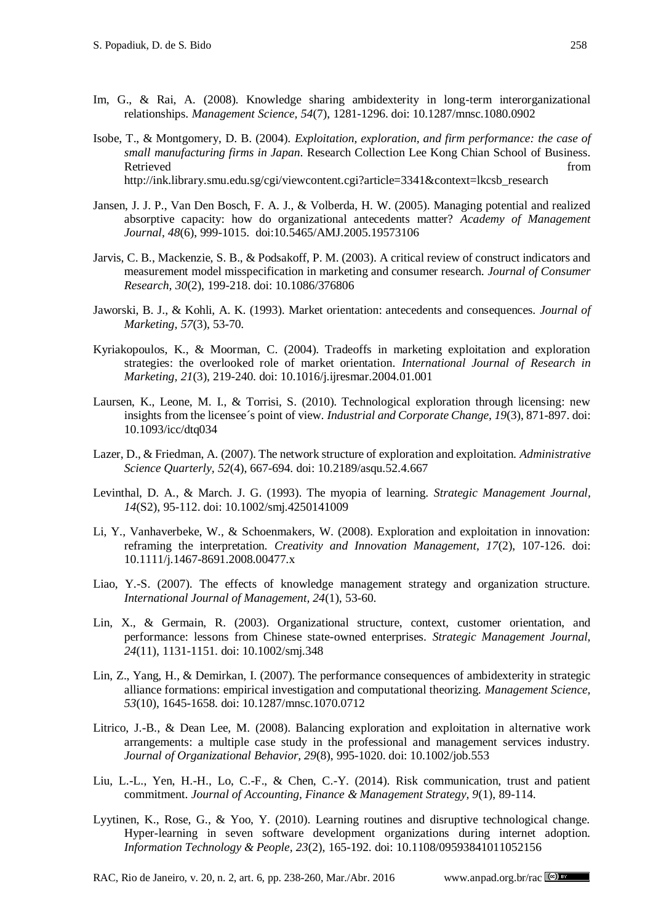- Im, G., & Rai, A. (2008). Knowledge sharing ambidexterity in long-term interorganizational relationships. *Management Science, 54*(7), 1281-1296. doi: 10.1287/mnsc.1080.0902
- Isobe, T., & Montgomery, D. B. (2004). *Exploitation, exploration, and firm performance: the case of small manufacturing firms in Japan*. Research Collection Lee Kong Chian School of Business. Retrieved from the state of the state of the state of the state of the state of the state of the state of the state of the state of the state of the state of the state of the state of the state of the state of the state of http://ink.library.smu.edu.sg/cgi/viewcontent.cgi?article=3341&context=lkcsb\_research
- Jansen, J. J. P., Van Den Bosch, F. A. J., & Volberda, H. W. (2005). Managing potential and realized absorptive capacity: how do organizational antecedents matter? *Academy of Management Journal*, *48*(6), 999-1015. doi:10.5465/AMJ.2005.19573106
- Jarvis, C. B., Mackenzie, S. B., & Podsakoff, P. M. (2003). A critical review of construct indicators and measurement model misspecification in marketing and consumer research. *Journal of Consumer Research, 30*(2), 199-218. doi: 10.1086/376806
- Jaworski, B. J., & Kohli, A. K. (1993). Market orientation: antecedents and consequences. *Journal of Marketing, 57*(3), 53-70.
- Kyriakopoulos, K., & Moorman, C. (2004). Tradeoffs in marketing exploitation and exploration strategies: the overlooked role of market orientation. *International Journal of Research in Marketing, 21*(3), 219-240. doi: 10.1016/j.ijresmar.2004.01.001
- Laursen, K., Leone, M. I., & Torrisi, S. (2010). Technological exploration through licensing: new insights from the licensee´s point of view. *Industrial and Corporate Change, 19*(3), 871-897. doi: 10.1093/icc/dtq034
- Lazer, D., & Friedman, A. (2007). The network structure of exploration and exploitation. *Administrative Science Quarterly, 52*(4), 667-694. doi: 10.2189/asqu.52.4.667
- Levinthal, D. A., & March. J. G. (1993). The myopia of learning. *Strategic Management Journal, 14*(S2), 95-112. doi: 10.1002/smj.4250141009
- Li, Y., Vanhaverbeke, W., & Schoenmakers, W. (2008). Exploration and exploitation in innovation: reframing the interpretation. *Creativity and Innovation Management, 17*(2), 107-126. doi: 10.1111/j.1467-8691.2008.00477.x
- Liao, Y.-S. (2007). The effects of knowledge management strategy and organization structure. *International Journal of Management, 24*(1), 53-60.
- Lin, X., & Germain, R. (2003). Organizational structure, context, customer orientation, and performance: lessons from Chinese state-owned enterprises. *Strategic Management Journal, 24*(11), 1131-1151. doi: 10.1002/smj.348
- Lin, Z., Yang, H., & Demirkan, I. (2007). The performance consequences of ambidexterity in strategic alliance formations: empirical investigation and computational theorizing. *Management Science, 53*(10), 1645-1658. doi: 10.1287/mnsc.1070.0712
- Litrico, J.-B., & Dean Lee, M. (2008). Balancing exploration and exploitation in alternative work arrangements: a multiple case study in the professional and management services industry. *Journal of Organizational Behavior, 29*(8), 995-1020. doi: 10.1002/job.553
- Liu, L.-L., Yen, H.-H., Lo, C.-F., & Chen, C.-Y. (2014). Risk communication, trust and patient commitment. *Journal of Accounting, Finance & Management Strategy, 9*(1), 89-114.
- Lyytinen, K., Rose, G., & Yoo, Y. (2010). Learning routines and disruptive technological change. Hyper-learning in seven software development organizations during internet adoption. *Information Technology & People, 23*(2), 165-192. doi: 10.1108/09593841011052156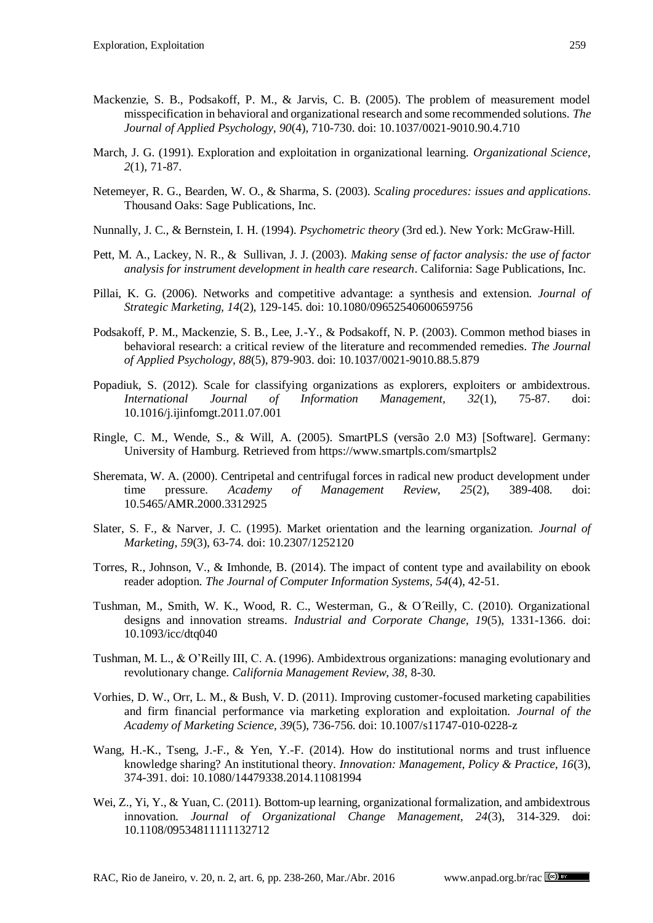- Mackenzie, S. B., Podsakoff, P. M., & Jarvis, C. B. (2005). The problem of measurement model misspecification in behavioral and organizational research and some recommended solutions. *The Journal of Applied Psychology, 90*(4), 710-730. doi: 10.1037/0021-9010.90.4.710
- March, J. G. (1991). Exploration and exploitation in organizational learning. *Organizational Science, 2*(1), 71-87.
- Netemeyer, R. G., Bearden, W. O., & Sharma, S. (2003). *Scaling procedures: issues and applications*. Thousand Oaks: Sage Publications, Inc.
- Nunnally, J. C., & Bernstein, I. H. (1994). *Psychometric theory* (3rd ed.). New York: McGraw-Hill.
- Pett, M. A., Lackey, N. R., & Sullivan, J. J. (2003). *Making sense of factor analysis: the use of factor analysis for instrument development in health care research*. California: Sage Publications, Inc.
- Pillai, K. G. (2006). Networks and competitive advantage: a synthesis and extension. *Journal of Strategic Marketing, 14*(2), 129-145. doi: 10.1080/09652540600659756
- Podsakoff, P. M., Mackenzie, S. B., Lee, J.-Y., & Podsakoff, N. P. (2003). Common method biases in behavioral research: a critical review of the literature and recommended remedies. *The Journal of Applied Psychology, 88*(5), 879-903. doi: 10.1037/0021-9010.88.5.879
- Popadiuk, S. (2012). Scale for classifying organizations as explorers, exploiters or ambidextrous. *International Journal of Information Management, 32*(1), 75-87. doi: 10.1016/j.ijinfomgt.2011.07.001
- Ringle, C. M., Wende, S., & Will, A. (2005). SmartPLS (versão 2.0 M3) [Software]. Germany: University of Hamburg. Retrieved from https://www.smartpls.com/smartpls2
- Sheremata, W. A. (2000). Centripetal and centrifugal forces in radical new product development under time pressure. *Academy of Management Review, 25*(2), 389-408. doi: 10.5465/AMR.2000.3312925
- Slater, S. F., & Narver, J. C. (1995). Market orientation and the learning organization. *Journal of Marketing, 59*(3), 63-74. doi: 10.2307/1252120
- Torres, R., Johnson, V., & Imhonde, B. (2014). The impact of content type and availability on ebook reader adoption. *The Journal of Computer Information Systems, 54*(4), 42-51.
- Tushman, M., Smith, W. K., Wood, R. C., Westerman, G., & O´Reilly, C. (2010). Organizational designs and innovation streams. *Industrial and Corporate Change, 19*(5), 1331-1366. doi: 10.1093/icc/dtq040
- Tushman, M. L., & O'Reilly III, C. A. (1996). Ambidextrous organizations: managing evolutionary and revolutionary change. *California Management Review, 38*, 8-30.
- Vorhies, D. W., Orr, L. M., & Bush, V. D. (2011). Improving customer-focused marketing capabilities and firm financial performance via marketing exploration and exploitation. *Journal of the Academy of Marketing Science, 39*(5), 736-756. doi: 10.1007/s11747-010-0228-z
- Wang, H.-K., Tseng, J.-F., & Yen, Y.-F. (2014). How do institutional norms and trust influence knowledge sharing? An institutional theory. *Innovation: Management, Policy & Practice, 16*(3), 374-391. doi: 10.1080/14479338.2014.11081994
- Wei, Z., Yi, Y., & Yuan, C. (2011). Bottom-up learning, organizational formalization, and ambidextrous innovation. *Journal of Organizational Change Management, 24*(3), 314-329. doi: 10.1108/09534811111132712